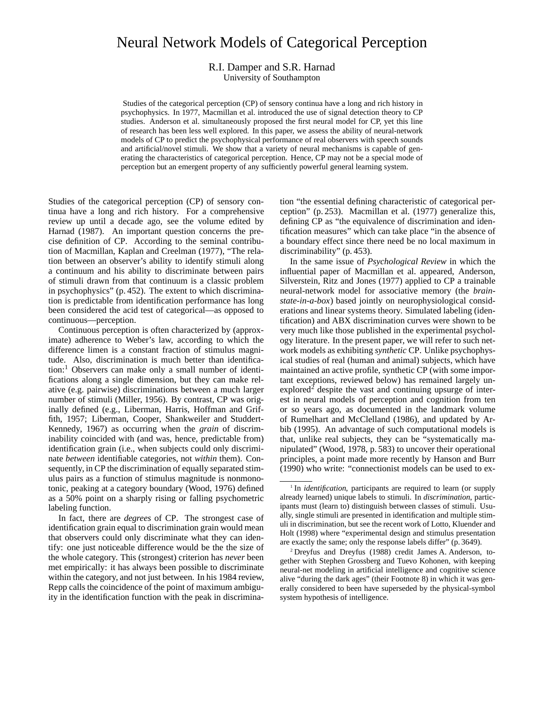# Neural Network Models of Categorical Perception

## R.I. Damper and S.R. Harnad

University of Southampton

Studies of the categorical perception (CP) of sensory continua have a long and rich history in psychophysics. In 1977, Macmillan et al. introduced the use of signal detection theory to CP studies. Anderson et al. simultaneously proposed the first neural model for CP, yet this line of research has been less well explored. In this paper, we assess the ability of neural-network models of CP to predict the psychophysical performance of real observers with speech sounds and artificial/novel stimuli. We show that a variety of neural mechanisms is capable of generating the characteristics of categorical perception. Hence, CP may not be a special mode of perception but an emergent property of any sufficiently powerful general learning system.

Studies of the categorical perception (CP) of sensory continua have a long and rich history. For a comprehensive review up until a decade ago, see the volume edited by Harnad (1987). An important question concerns the precise definition of CP. According to the seminal contribution of Macmillan, Kaplan and Creelman (1977), "The relation between an observer's ability to identify stimuli along a continuum and his ability to discriminate between pairs of stimuli drawn from that continuum is a classic problem in psychophysics" (p. 452). The extent to which discrimination is predictable from identification performance has long been considered the acid test of categorical—as opposed to continuous—perception.

Continuous perception is often characterized by (approximate) adherence to Weber's law, according to which the difference limen is a constant fraction of stimulus magnitude. Also, discrimination is much better than identification:<sup>1</sup> Observers can make only a small number of identifications along a single dimension, but they can make relative (e.g. pairwise) discriminations between a much larger number of stimuli (Miller, 1956). By contrast, CP was originally defined (e.g., Liberman, Harris, Hoffman and Griffith, 1957; Liberman, Cooper, Shankweiler and Studdert-Kennedy, 1967) as occurring when the *grain* of discriminability coincided with (and was, hence, predictable from) identification grain (i.e., when subjects could only discriminate *between* identifiable categories, not *within* them). Consequently, in CP the discrimination of equally separated stimulus pairs as a function of stimulus magnitude is nonmonotonic, peaking at a category boundary (Wood, 1976) defined as a 50% point on a sharply rising or falling psychometric labeling function.

In fact, there are *degrees* of CP. The strongest case of identification grain equal to discrimination grain would mean that observers could only discriminate what they can identify: one just noticeable difference would be the the size of the whole category. This (strongest) criterion has *never* been met empirically: it has always been possible to discriminate within the category, and not just between. In his 1984 review, Repp calls the coincidence of the point of maximum ambiguity in the identification function with the peak in discrimination "the essential defining characteristic of categorical perception" (p. 253). Macmillan et al. (1977) generalize this, defining CP as "the equivalence of discrimination and identification measures" which can take place "in the absence of a boundary effect since there need be no local maximum in discriminability" (p. 453).

In the same issue of *Psychological Review* in which the influential paper of Macmillan et al. appeared, Anderson, Silverstein, Ritz and Jones (1977) applied to CP a trainable neural-network model for associative memory (the *brainstate-in-a-box*) based jointly on neurophysiological considerations and linear systems theory. Simulated labeling (identification) and ABX discrimination curves were shown to be very much like those published in the experimental psychology literature. In the present paper, we will refer to such network models as exhibiting *synthetic* CP. Unlike psychophysical studies of real (human and animal) subjects, which have maintained an active profile, synthetic CP (with some important exceptions, reviewed below) has remained largely unexplored<sup>2</sup> despite the vast and continuing upsurge of interest in neural models of perception and cognition from ten or so years ago, as documented in the landmark volume of Rumelhart and McClelland (1986), and updated by Arbib (1995). An advantage of such computational models is that, unlike real subjects, they can be "systematically manipulated" (Wood, 1978, p. 583) to uncover their operational principles, a point made more recently by Hanson and Burr (1990) who write: "connectionist models can be used to ex-

<sup>&</sup>lt;sup>1</sup> In *identification*, participants are required to learn (or supply already learned) unique labels to stimuli. In *discrimination*, participants must (learn to) distinguish between classes of stimuli. Usually, single stimuli are presented in identification and multiple stimuli in discrimination, but see the recent work of Lotto, Kluender and Holt (1998) where "experimental design and stimulus presentation are exactly the same; only the response labels differ" (p. 3649).

<sup>2</sup> Dreyfus and Dreyfus (1988) credit James A. Anderson, together with Stephen Grossberg and Tuevo Kohonen, with keeping neural-net modeling in artificial intelligence and cognitive science alive "during the dark ages" (their Footnote 8) in which it was generally considered to been have superseded by the physical-symbol system hypothesis of intelligence.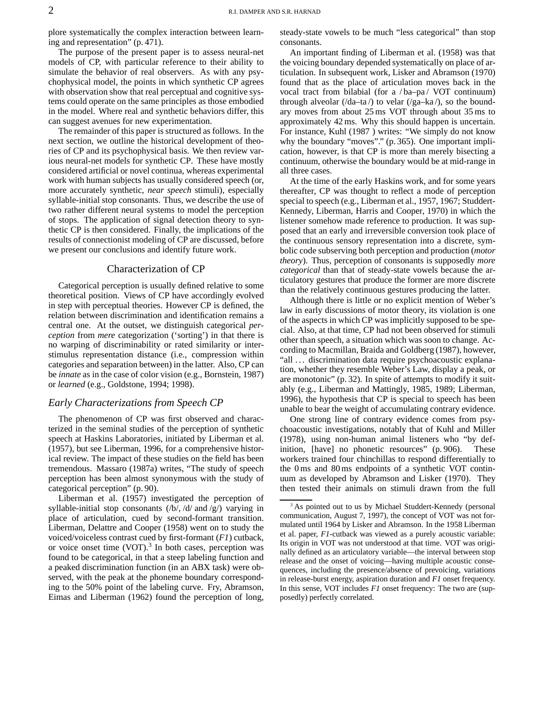plore systematically the complex interaction between learning and representation" (p. 471).

The purpose of the present paper is to assess neural-net models of CP, with particular reference to their ability to simulate the behavior of real observers. As with any psychophysical model, the points in which synthetic CP agrees with observation show that real perceptual and cognitive systems could operate on the same principles as those embodied in the model. Where real and synthetic behaviors differ, this can suggest avenues for new experimentation.

The remainder of this paper is structured as follows. In the next section, we outline the historical development of theories of CP and its psychophysical basis. We then review various neural-net models for synthetic CP. These have mostly considered artificial or novel continua, whereas experimental work with human subjects has usually considered speech (or, more accurately synthetic, *near speech* stimuli), especially syllable-initial stop consonants. Thus, we describe the use of two rather different neural systems to model the perception of stops. The application of signal detection theory to synthetic CP is then considered. Finally, the implications of the results of connectionist modeling of CP are discussed, before we present our conclusions and identify future work.

### Characterization of CP

Categorical perception is usually defined relative to some theoretical position. Views of CP have accordingly evolved in step with perceptual theories. However CP is defined, the relation between discrimination and identification remains a central one. At the outset, we distinguish categorical *perception* from *mere* categorization ('sorting') in that there is no warping of discriminability or rated similarity or interstimulus representation distance (i.e., compression within categories and separation between) in the latter. Also, CP can be *innate* as in the case of color vision (e.g., Bornstein, 1987) or *learned* (e.g., Goldstone, 1994; 1998).

### *Early Characterizations from Speech CP*

The phenomenon of CP was first observed and characterized in the seminal studies of the perception of synthetic speech at Haskins Laboratories, initiated by Liberman et al. (1957), but see Liberman, 1996, for a comprehensive historical review. The impact of these studies on the field has been tremendous. Massaro (1987a) writes, "The study of speech perception has been almost synonymous with the study of categorical perception" (p. 90).

Liberman et al. (1957) investigated the perception of syllable-initial stop consonants  $(\frac{b}{\sqrt{d}}$  and  $\frac{g}{g}$  varying in place of articulation, cued by second-formant transition. Liberman, Delattre and Cooper (1958) went on to study the voiced/voiceless contrast cued by first-formant (*F1*) cutback, or voice onset time  $(VOT)$ .<sup>3</sup> In both cases, perception was found to be categorical, in that a steep labeling function and a peaked discrimination function (in an ABX task) were observed, with the peak at the phoneme boundary corresponding to the 50% point of the labeling curve. Fry, Abramson, Eimas and Liberman (1962) found the perception of long,

steady-state vowels to be much "less categorical" than stop consonants.

An important finding of Liberman et al. (1958) was that the voicing boundary depended systematically on place of articulation. In subsequent work, Lisker and Abramson (1970) found that as the place of articulation moves back in the vocal tract from bilabial (for a / ba–pa / VOT continuum) through alveolar (/da–ta /) to velar (/ga–ka /), so the boundary moves from about 25 ms VOT through about 35 ms to approximately 42 ms. Why this should happen is uncertain. For instance, Kuhl (1987 ) writes: "We simply do not know why the boundary "moves"." (p. 365). One important implication, however, is that CP is more than merely bisecting a continuum, otherwise the boundary would be at mid-range in all three cases.

At the time of the early Haskins work, and for some years thereafter, CP was thought to reflect a mode of perception special to speech (e.g., Liberman et al., 1957, 1967; Studdert-Kennedy, Liberman, Harris and Cooper, 1970) in which the listener somehow made reference to production. It was supposed that an early and irreversible conversion took place of the continuous sensory representation into a discrete, symbolic code subserving both perception and production (*motor theory*). Thus, perception of consonants is supposedly *more categorical* than that of steady-state vowels because the articulatory gestures that produce the former are more discrete than the relatively continuous gestures producing the latter.

Although there is little or no explicit mention of Weber's law in early discussions of motor theory, its violation is one of the aspects in which CP was implicitly supposed to be special. Also, at that time, CP had not been observed for stimuli other than speech, a situation which was soon to change. According to Macmillan, Braida and Goldberg (1987), however, "all ... discrimination data require psychoacoustic explanation, whether they resemble Weber's Law, display a peak, or are monotonic" (p. 32). In spite of attempts to modify it suitably (e.g., Liberman and Mattingly, 1985, 1989; Liberman, 1996), the hypothesis that CP is special to speech has been unable to bear the weight of accumulating contrary evidence.

One strong line of contrary evidence comes from psychoacoustic investigations, notably that of Kuhl and Miller (1978), using non-human animal listeners who "by definition, [have] no phonetic resources" (p. 906). These workers trained four chinchillas to respond differentially to the 0 ms and 80 ms endpoints of a synthetic VOT continuum as developed by Abramson and Lisker (1970). They then tested their animals on stimuli drawn from the full

As pointed out to us by Michael Studdert-Kennedy (personal communication, August 7, 1997), the concept of VOT was not formulated until 1964 by Lisker and Abramson. In the 1958 Liberman et al. paper, *F1*-cutback was viewed as a purely acoustic variable: Its origin in VOT was not understood at that time. VOT was originally defined as an articulatory variable—the interval between stop release and the onset of voicing—having multiple acoustic consequences, including the presence/absence of prevoicing, variations in release-burst energy, aspiration duration and *F1* onset frequency. In this sense, VOT includes *F1* onset frequency: The two are (supposedly) perfectly correlated.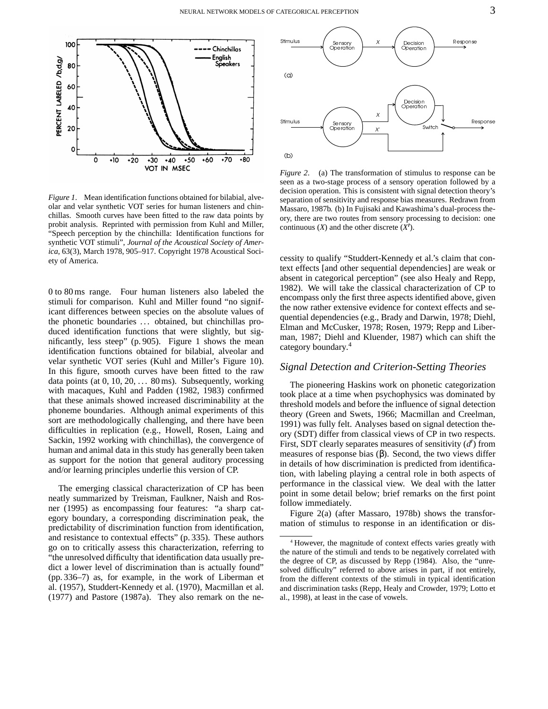

*Figure 1*. Mean identification functions obtained for bilabial, alveolar and velar synthetic VOT series for human listeners and chinchillas. Smooth curves have been fitted to the raw data points by probit analysis. Reprinted with permission from Kuhl and Miller, "Speech perception by the chinchilla: Identification functions for synthetic VOT stimuli", *Journal of the Acoustical Society of America*, 63(3), March 1978, 905–917. Copyright 1978 Acoustical Society of America.

0 to 80 ms range. Four human listeners also labeled the stimuli for comparison. Kuhl and Miller found "no significant differences between species on the absolute values of the phonetic boundaries ... obtained, but chinchillas produced identification functions that were slightly, but significantly, less steep" (p. 905). Figure 1 shows the mean identification functions obtained for bilabial, alveolar and velar synthetic VOT series (Kuhl and Miller's Figure 10). In this figure, smooth curves have been fitted to the raw data points (at  $0, 10, 20, \ldots 80$  ms). Subsequently, working with macaques, Kuhl and Padden (1982, 1983) confirmed that these animals showed increased discriminability at the phoneme boundaries. Although animal experiments of this sort are methodologically challenging, and there have been difficulties in replication (e.g., Howell, Rosen, Laing and Sackin, 1992 working with chinchillas), the convergence of human and animal data in this study has generally been taken as support for the notion that general auditory processing and/or learning principles underlie this version of CP.

The emerging classical characterization of CP has been neatly summarized by Treisman, Faulkner, Naish and Rosner (1995) as encompassing four features: "a sharp category boundary, a corresponding discrimination peak, the predictability of discrimination function from identification, and resistance to contextual effects" (p. 335). These authors go on to critically assess this characterization, referring to "the unresolved difficulty that identification data usually predict a lower level of discrimination than is actually found" (pp. 336–7) as, for example, in the work of Liberman et al. (1957), Studdert-Kennedy et al. (1970), Macmillan et al. (1977) and Pastore (1987a). They also remark on the ne-



*Figure 2*. (a) The transformation of stimulus to response can be seen as a two-stage process of a sensory operation followed by a decision operation. This is consistent with signal detection theory's separation of sensitivity and response bias measures. Redrawn from Massaro, 1987b. (b) In Fujisaki and Kawashima's dual-process theory, there are two routes from sensory processing to decision: one continuous  $(X)$  and the other discrete  $(X')$ .

cessity to qualify "Studdert-Kennedy et al.'s claim that context effects [and other sequential dependencies] are weak or absent in categorical perception" (see also Healy and Repp, 1982). We will take the classical characterization of CP to encompass only the first three aspects identified above, given the now rather extensive evidence for context effects and sequential dependencies (e.g., Brady and Darwin, 1978; Diehl, Elman and McCusker, 1978; Rosen, 1979; Repp and Liberman, 1987; Diehl and Kluender, 1987) which can shift the category boundary. 4

### *Signal Detection and Criterion-Setting Theories*

The pioneering Haskins work on phonetic categorization took place at a time when psychophysics was dominated by threshold models and before the influence of signal detection theory (Green and Swets, 1966; Macmillan and Creelman, 1991) was fully felt. Analyses based on signal detection theory (SDT) differ from classical views of CP in two respects. First, SDT clearly separates measures of sensitivity  $(d')$  from measures of response bias  $(\beta)$ . Second, the two views differ in details of how discrimination is predicted from identification, with labeling playing a central role in both aspects of performance in the classical view. We deal with the latter point in some detail below; brief remarks on the first point follow immediately.

Figure 2(a) (after Massaro, 1978b) shows the transformation of stimulus to response in an identification or dis-

<sup>4</sup> However, the magnitude of context effects varies greatly with the nature of the stimuli and tends to be negatively correlated with the degree of CP, as discussed by Repp (1984). Also, the "unresolved difficulty" referred to above arises in part, if not entirely, from the different contexts of the stimuli in typical identification and discrimination tasks (Repp, Healy and Crowder, 1979; Lotto et al., 1998), at least in the case of vowels.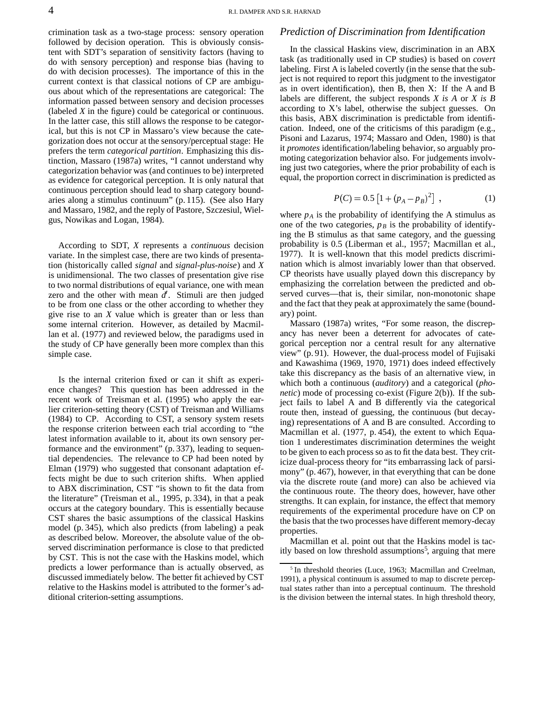crimination task as a two-stage process: sensory operation followed by decision operation. This is obviously consistent with SDT's separation of sensitivity factors (having to do with sensory perception) and response bias (having to do with decision processes). The importance of this in the current context is that classical notions of CP are ambiguous about which of the representations are categorical: The information passed between sensory and decision processes (labeled *X* in the figure) could be categorical or continuous. In the latter case, this still allows the response to be categorical, but this is not CP in Massaro's view because the categorization does not occur at the sensory/perceptual stage: He prefers the term *categorical partition*. Emphasizing this distinction, Massaro (1987a) writes, "I cannot understand why categorization behavior was (and continues to be) interpreted as evidence for categorical perception. It is only natural that continuous perception should lead to sharp category boundaries along a stimulus continuum" (p. 115). (See also Hary and Massaro, 1982, and the reply of Pastore, Szczesiul, Wielgus, Nowikas and Logan, 1984).

According to SDT, *X* represents a *continuous* decision variate. In the simplest case, there are two kinds of presentation (historically called *signal* and *signal-plus-noise*) and *X* is unidimensional. The two classes of presentation give rise to two normal distributions of equal variance, one with mean zero and the other with mean  $d'$ . Stimuli are then judged to be from one class or the other according to whether they give rise to an *X* value which is greater than or less than some internal criterion. However, as detailed by Macmillan et al. (1977) and reviewed below, the paradigms used in the study of CP have generally been more complex than this simple case.

Is the internal criterion fixed or can it shift as experience changes? This question has been addressed in the recent work of Treisman et al. (1995) who apply the earlier criterion-setting theory (CST) of Treisman and Williams (1984) to CP. According to CST, a sensory system resets the response criterion between each trial according to "the latest information available to it, about its own sensory performance and the environment" (p. 337), leading to sequential dependencies. The relevance to CP had been noted by Elman (1979) who suggested that consonant adaptation effects might be due to such criterion shifts. When applied to ABX discrimination, CST "is shown to fit the data from the literature" (Treisman et al., 1995, p. 334), in that a peak occurs at the category boundary. This is essentially because CST shares the basic assumptions of the classical Haskins model (p. 345), which also predicts (from labeling) a peak as described below. Moreover, the absolute value of the observed discrimination performance is close to that predicted by CST. This is not the case with the Haskins model, which predicts a lower performance than is actually observed, as discussed immediately below. The better fit achieved by CST relative to the Haskins model is attributed to the former's additional criterion-setting assumptions.

### *Prediction of Discrimination from Identification*

In the classical Haskins view, discrimination in an ABX task (as traditionally used in CP studies) is based on *covert* labeling. First A is labeled covertly (in the sense that the subject is not required to report this judgment to the investigator as in overt identification), then B, then X: If the A and B labels are different, the subject responds *X is A* or *X is B* according to X's label, otherwise the subject guesses. On this basis, ABX discrimination is predictable from identification. Indeed, one of the criticisms of this paradigm (e.g., Pisoni and Lazarus, 1974; Massaro and Oden, 1980) is that it *promotes* identification/labeling behavior, so arguably promoting categorization behavior also. For judgements involving just two categories, where the prior probability of each is equal, the proportion correct in discrimination is predicted as

$$
P(C) = 0.5 \left[ 1 + (p_A - p_B)^2 \right] , \qquad (1)
$$

where  $p_A$  is the probability of identifying the A stimulus as one of the two categories,  $p_B$  is the probability of identifying the B stimulus as that same category, and the guessing probability is 0.5 (Liberman et al., 1957; Macmillan et al., 1977). It is well-known that this model predicts discrimination which is almost invariably lower than that observed. CP theorists have usually played down this discrepancy by emphasizing the correlation between the predicted and observed curves—that is, their similar, non-monotonic shape and the fact that they peak at approximately the same (boundary) point.

Massaro (1987a) writes, "For some reason, the discrepancy has never been a deterrent for advocates of categorical perception nor a central result for any alternative view" (p. 91). However, the dual-process model of Fujisaki and Kawashima (1969, 1970, 1971) does indeed effectively take this discrepancy as the basis of an alternative view, in which both a continuous (*auditory*) and a categorical (*phonetic*) mode of processing co-exist (Figure 2(b)). If the subject fails to label A and B differently via the categorical route then, instead of guessing, the continuous (but decaying) representations of A and B are consulted. According to Macmillan et al. (1977, p. 454), the extent to which Equation 1 underestimates discrimination determines the weight to be given to each process so as to fit the data best. They criticize dual-process theory for "its embarrassing lack of parsimony" (p. 467), however, in that everything that can be done via the discrete route (and more) can also be achieved via the continuous route. The theory does, however, have other strengths. It can explain, for instance, the effect that memory requirements of the experimental procedure have on CP on the basis that the two processes have different memory-decay properties.

Macmillan et al. point out that the Haskins model is tacitly based on low threshold assumptions<sup>5</sup>, arguing that mere

<sup>&</sup>lt;sup>5</sup> In threshold theories (Luce, 1963; Macmillan and Creelman, 1991), a physical continuum is assumed to map to discrete perceptual states rather than into a perceptual continuum. The threshold is the division between the internal states. In high threshold theory,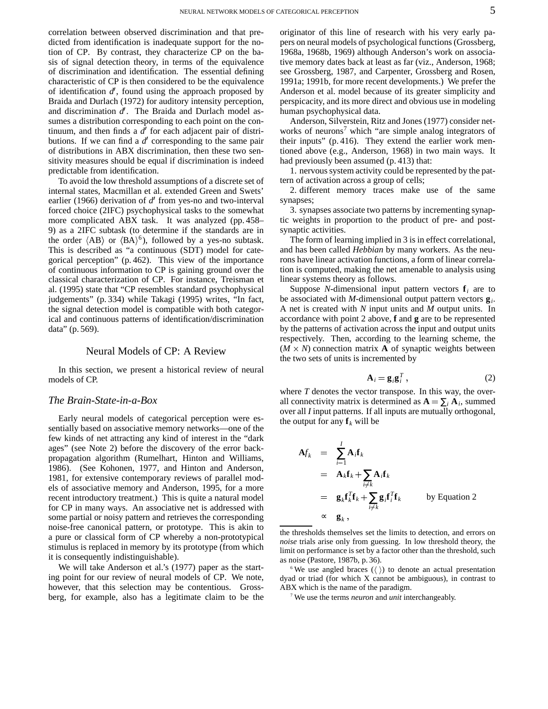correlation between observed discrimination and that predicted from identification is inadequate support for the notion of CP. By contrast, they characterize CP on the basis of signal detection theory, in terms of the equivalence of discrimination and identification. The essential defining characteristic of CP is then considered to be the equivalence of identification  $d'$ , found using the approach proposed by Braida and Durlach (1972) for auditory intensity perception, and discrimination d'. The Braida and Durlach model assumes a distribution corresponding to each point on the continuum, and then finds a d' for each adjacent pair of distributions. If we can find a  $d'$  corresponding to the same pair of distributions in ABX discrimination, then these two sensitivity measures should be equal if discrimination is indeed predictable from identification.

To avoid the low threshold assumptions of a discrete set of internal states, Macmillan et al. extended Green and Swets' earlier (1966) derivation of  $d'$  from yes-no and two-interval forced choice (2IFC) psychophysical tasks to the somewhat more complicated ABX task. It was analyzed (pp. 458– 9) as a 2IFC subtask (to determine if the standards are in the order  $\langle AB \rangle$  or  $\langle BA \rangle^6$ ), followed by a yes-no subtask. This is described as "a continuous (SDT) model for categorical perception" (p. 462). This view of the importance of continuous information to CP is gaining ground over the classical characterization of CP. For instance, Treisman et al. (1995) state that "CP resembles standard psychophysical judgements" (p. 334) while Takagi (1995) writes, "In fact, the signal detection model is compatible with both categorical and continuous patterns of identification/discrimination data" (p. 569).

### Neural Models of CP: A Review

In this section, we present a historical review of neural models of CP.

### *The Brain-State-in-a-Box*

Early neural models of categorical perception were essentially based on associative memory networks—one of the few kinds of net attracting any kind of interest in the "dark ages" (see Note 2) before the discovery of the error backpropagation algorithm (Rumelhart, Hinton and Williams, 1986). (See Kohonen, 1977, and Hinton and Anderson, 1981, for extensive contemporary reviews of parallel models of associative memory and Anderson, 1995, for a more recent introductory treatment.) This is quite a natural model for CP in many ways. An associative net is addressed with some partial or noisy pattern and retrieves the corresponding noise-free canonical pattern, or prototype. This is akin to a pure or classical form of CP whereby a non-prototypical stimulus is replaced in memory by its prototype (from which it is consequently indistinguishable).

We will take Anderson et al.'s (1977) paper as the starting point for our review of neural models of CP. We note, however, that this selection may be contentious. Grossberg, for example, also has a legitimate claim to be the

originator of this line of research with his very early papers on neural models of psychological functions(Grossberg, 1968a, 1968b, 1969) although Anderson's work on associative memory dates back at least as far (viz., Anderson, 1968; see Grossberg, 1987, and Carpenter, Grossberg and Rosen, 1991a; 1991b, for more recent developments.) We prefer the Anderson et al. model because of its greater simplicity and perspicacity, and its more direct and obvious use in modeling human psychophysical data.

Anderson, Silverstein, Ritz and Jones (1977) consider networks of neurons<sup>7</sup> which "are simple analog integrators of their inputs" (p. 416). They extend the earlier work mentioned above (e.g., Anderson, 1968) in two main ways. It had previously been assumed (p. 413) that:

1. nervoussystem activity could be represented by the pattern of activation across a group of cells;

2. different memory traces make use of the same synapses;

3. synapses associate two patterns by incrementing synaptic weights in proportion to the product of pre- and postsynaptic activities.

The form of learning implied in 3 is in effect correlational, and has been called *Hebbian* by many workers. As the neurons have linear activation functions, a form of linear correlation is computed, making the net amenable to analysis using linear systems theory as follows.

Suppose *N*-dimensional input pattern vectors  $f_i$  are to be associated with *M*-dimensional output pattern vectors **g***<sup>i</sup>* . A net is created with *N* input units and *M* output units. In accordance with point 2 above, **f** and **g** are to be represented by the patterns of activation across the input and output units respectively. Then, according to the learning scheme, the  $(M \times N)$  connection matrix **A** of synaptic weights between the two sets of units is incremented by

$$
\mathbf{A}_{i} = \mathbf{g}_{i}\mathbf{g}_{i}^{T},\tag{2}
$$

where *T* denotes the vector transpose. In this way, the overall connectivity matrix is determined as  $\mathbf{A} = \sum_i \mathbf{A}_i$ , summed over all *I* input patterns. If all inputs are mutually orthogonal, the output for any  $f_k$  will be

$$
\begin{array}{rcl}\n\mathbf{A}f_k &=& \sum_{i=1}^I \mathbf{A}_i \mathbf{f}_k \\
&=& \mathbf{A}_k \mathbf{f}_k + \sum_{i \neq k} \mathbf{A}_i \mathbf{f}_k \\
&=& \mathbf{g}_k \mathbf{f}_k^T \mathbf{f}_k + \sum_{i \neq k} \mathbf{g}_i \mathbf{f}_i^T \mathbf{f}_k \qquad \text{by Equation 2} \\
&\approx & \mathbf{g}_k \,,\n\end{array}
$$

the thresholds themselves set the limits to detection, and errors on *noise* trials arise only from guessing. In low threshold theory, the limit on performance is set by a factor other than the threshold, such as noise (Pastore, 1987b, p. 36).

 $6$  We use angled braces ( $\langle \ \rangle$ ) to denote an actual presentation dyad or triad (for which X cannot be ambiguous), in contrast to ABX which is the name of the paradigm.

<sup>7</sup> We use the terms *neuron* and *unit* interchangeably.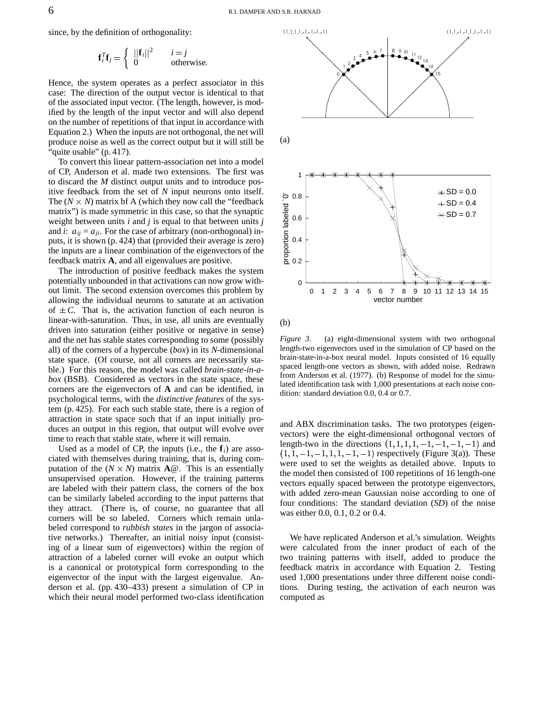since, by the definition of orthogonality:

$$
\mathbf{f}_i^T \mathbf{f}_j = \begin{cases} ||\mathbf{f}_i||^2 & i = j \\ 0 & \text{otherwise.} \end{cases}
$$

Hence, the system operates as a perfect associator in this case: The direction of the output vector is identical to that of the associated input vector. (The length, however, is modified by the length of the input vector and will also depend on the number of repetitions of that input in accordance with Equation 2.) When the inputs are not orthogonal, the net will produce noise as well as the correct output but it will still be 'quite usable" (p. 417).

To convert this linear pattern-association net into a model of CP, Anderson et al. made two extensions. The first was to discard the *M* distinct output units and to introduce positive feedback from the set of *N* input neurons onto itself. The  $(N \times N)$  matrix bf A (which they now call the "feedback" matrix") is made symmetric in this case, so that the synaptic weight between units *i* and *j* is equal to that between units *j* and *i*:  $a_{ii} = a_{ii}$ . For the case of arbitrary (non-orthogonal) inputs, it is shown (p. 424) that (provided their average is zero) the inputs are a linear combination of the eigenvectors of the feedback matrix **A**, and all eigenvalues are positive.

The introduction of positive feedback makes the system potentially unbounded in that activations can now grow without limit. The second extension overcomes this problem by allowing the individual neurons to saturate at an activation of  $\pm C$ . That is, the activation function of each neuron is linear-with-saturation. Thus, in use, all units are eventually driven into saturation (either positive or negative in sense) and the net has stable states corresponding to some (possibly all) of the corners of a hypercube (*box*) in its *N*-dimensional state space. (Of course, not all corners are necessarily stable.) For this reason, the model was called *brain-state-in-abox* (BSB). Considered as vectors in the state space, these corners are the eigenvectors of **A** and can be identified, in psychological terms, with the *distinctive features* of the system (p. 425). For each such stable state, there is a region of attraction in state space such that if an input initially produces an output in this region, that output will evolve over time to reach that stable state, where it will remain.

Used as a model of CP, the inputs (i.e., the **f***i*) are associated with themselves during training, that is, during computation of the  $(N \times N)$  matrix  $\mathbf{A} \mathcal{Q}$ . This is an essentially unsupervised operation. However, if the training patterns are labeled with their pattern class, the corners of the box can be similarly labeled according to the input patterns that they attract. (There is, of course, no guarantee that all corners will be so labeled. Corners which remain unlabeled correspond to *rubbish states* in the jargon of associative networks.) Thereafter, an initial noisy input (consisting of a linear sum of eigenvectors) within the region of attraction of a labeled corner will evoke an output which is a canonical or prototypical form corresponding to the eigenvector of the input with the largest eigenvalue. Anderson et al. (pp. 430–433) present a simulation of CP in which their neural model performed two-class identification



(b)

*Figure 3*. (a) eight-dimensional system with two orthogonal length-two eigenvectors used in the simulation of CP based on the brain-state-in-a-box neural model. Inputs consisted of 16 equally spaced length-one vectors as shown, with added noise. Redrawn from Anderson et al. (1977). (b) Response of model for the simulated identification task with 1,000 presentations at each noise condition: standard deviation 0.0, 0.4 or 0.7.

and ABX discrimination tasks. The two prototypes (eigenvectors) were the eight-dimensional orthogonal vectors of length-two in the directions  $(1, 1, 1, 1, -1, -1, -1, -1)$  and  $(1, 1, -1, -1, 1, 1, -1, -1)$  respectively (Figure 3(a)). These were used to set the weights as detailed above. Inputs to the model then consisted of 100 repetitions of 16 length-one vectors equally spaced between the prototype eigenvectors, with added zero-mean Gaussian noise according to one of four conditions: The standard deviation (*SD*) of the noise was either 0.0, 0.1, 0.2 or 0.4.

We have replicated Anderson et al.'s simulation. Weights were calculated from the inner product of each of the two training patterns with itself, added to produce the feedback matrix in accordance with Equation 2. Testing used 1,000 presentations under three different noise conditions. During testing, the activation of each neuron was computed as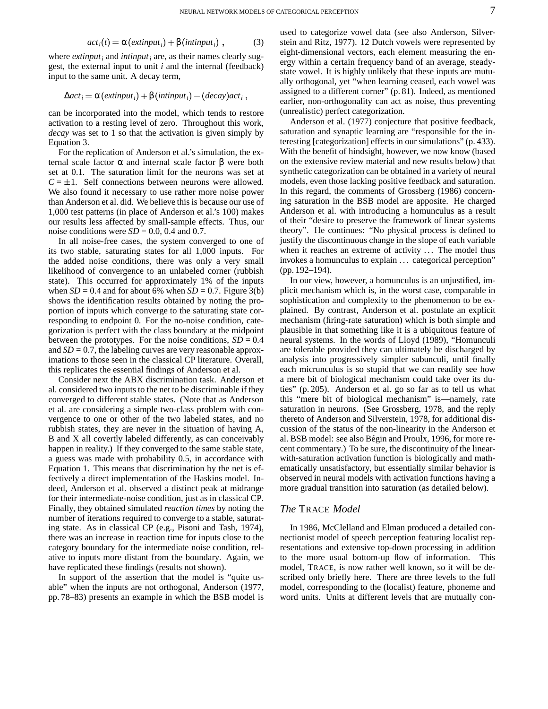$$
acti(t) = \alpha (extinputi) + \beta (intinputi) , \qquad (3)
$$

where *extinput<sup>i</sup>* and *intinput<sup>i</sup>* are, as their names clearly suggest, the external input to unit *i* and the internal (feedback) input to the same unit. A decay term,

$$
\Delta act_i = \alpha (extinput_i) + \beta (intinput_i) - (decay)act_i,
$$

can be incorporated into the model, which tends to restore activation to a resting level of zero. Throughout this work, *decay* was set to 1 so that the activation is given simply by Equation 3.

For the replication of Anderson et al.'s simulation, the external scale factor α and internal scale factor β were both set at 0.1. The saturation limit for the neurons was set at  $C = \pm 1$ . Self connections between neurons were allowed. We also found it necessary to use rather more noise power than Anderson et al. did. We believe this is because our use of 1,000 test patterns (in place of Anderson et al.'s 100) makes our results less affected by small-sample effects. Thus, our noise conditions were  $SD = 0.0$ , 0.4 and 0.7.

In all noise-free cases, the system converged to one of its two stable, saturating states for all 1,000 inputs. For the added noise conditions, there was only a very small likelihood of convergence to an unlabeled corner (rubbish state). This occurred for approximately 1% of the inputs when  $SD = 0.4$  and for about 6% when  $SD = 0.7$ . Figure 3(b) shows the identification results obtained by noting the proportion of inputs which converge to the saturating state corresponding to endpoint 0. For the no-noise condition, categorization is perfect with the class boundary at the midpoint between the prototypes. For the noise conditions,  $SD = 0.4$ and  $SD = 0.7$ , the labeling curves are very reasonable approximations to those seen in the classical CP literature. Overall, this replicates the essential findings of Anderson et al.

Consider next the ABX discrimination task. Anderson et al. considered two inputs to the net to be discriminable if they converged to different stable states. (Note that as Anderson et al. are considering a simple two-class problem with convergence to one or other of the two labeled states, and no rubbish states, they are never in the situation of having A, B and X all covertly labeled differently, as can conceivably happen in reality.) If they converged to the same stable state, a guess was made with probability 0.5, in accordance with Equation 1. This means that discrimination by the net is effectively a direct implementation of the Haskins model. Indeed, Anderson et al. observed a distinct peak at midrange for their intermediate-noise condition, just as in classical CP. Finally, they obtained simulated *reaction times* by noting the number of iterations required to converge to a stable, saturating state. As in classical CP (e.g., Pisoni and Tash, 1974), there was an increase in reaction time for inputs close to the category boundary for the intermediate noise condition, relative to inputs more distant from the boundary. Again, we have replicated these findings (results not shown).

In support of the assertion that the model is "quite usable" when the inputs are not orthogonal, Anderson (1977, pp. 78–83) presents an example in which the BSB model is

used to categorize vowel data (see also Anderson, Silverstein and Ritz, 1977). 12 Dutch vowels were represented by eight-dimensional vectors, each element measuring the energy within a certain frequency band of an average, steadystate vowel. It is highly unlikely that these inputs are mutually orthogonal, yet "when learning ceased, each vowel was assigned to a different corner" (p. 81). Indeed, as mentioned earlier, non-orthogonality can act as noise, thus preventing (unrealistic) perfect categorization.

Anderson et al. (1977) conjecture that positive feedback, saturation and synaptic learning are "responsible for the interesting [categorization] effects in our simulations" (p. 433). With the benefit of hindsight, however, we now know (based on the extensive review material and new results below) that synthetic categorization can be obtained in a variety of neural models, even those lacking positive feedback and saturation. In this regard, the comments of Grossberg (1986) concerning saturation in the BSB model are apposite. He charged Anderson et al. with introducing a homunculus as a result of their "desire to preserve the framework of linear systems theory". He continues: "No physical process is defined to justify the discontinuous change in the slope of each variable when it reaches an extreme of activity ... The model thus invokes a homunculus to explain ... categorical perception" (pp. 192–194).

In our view, however, a homunculus is an unjustified, implicit mechanism which is, in the worst case, comparable in sophistication and complexity to the phenomenon to be explained. By contrast, Anderson et al. postulate an explicit mechanism (firing-rate saturation) which is both simple and plausible in that something like it is a ubiquitous feature of neural systems. In the words of Lloyd (1989), "Homunculi are tolerable provided they can ultimately be discharged by analysis into progressively simpler subunculi, until finally each micrunculus is so stupid that we can readily see how a mere bit of biological mechanism could take over its duties" (p. 205). Anderson et al. go so far as to tell us what this "mere bit of biological mechanism" is—namely, rate saturation in neurons. (See Grossberg, 1978, and the reply thereto of Anderson and Silverstein, 1978, for additional discussion of the status of the non-linearity in the Anderson et al. BSB model: see also Bégin and Proulx, 1996, for more recent commentary.) To be sure, the discontinuity of the linearwith-saturation activation function is biologically and mathematically unsatisfactory, but essentially similar behavior is observed in neural models with activation functions having a more gradual transition into saturation (as detailed below).

### *The* TRACE *Model*

In 1986, McClelland and Elman produced a detailed connectionist model of speech perception featuring localist representations and extensive top-down processing in addition to the more usual bottom-up flow of information. This model, TRACE, is now rather well known, so it will be described only briefly here. There are three levels to the full model, corresponding to the (localist) feature, phoneme and word units. Units at different levels that are mutually con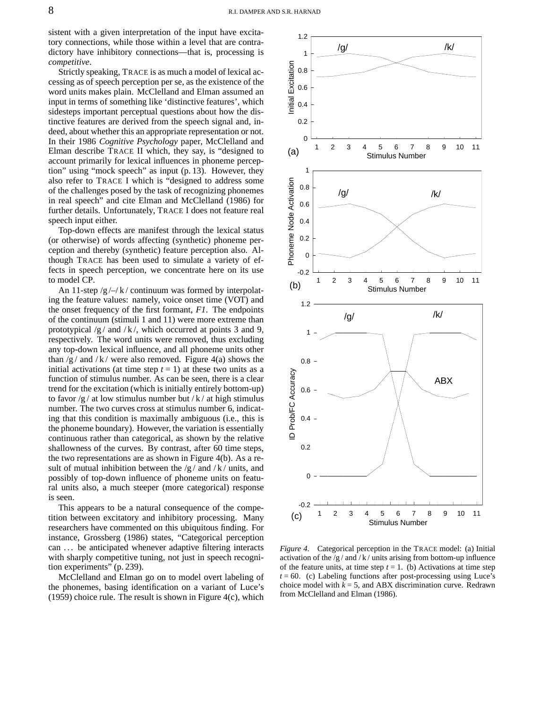sistent with a given interpretation of the input have excitatory connections, while those within a level that are contradictory have inhibitory connections—that is, processing is *competitive*.

Strictly speaking, TRACE is as much a model of lexical accessing as of speech perception per se, as the existence of the word units makes plain. McClelland and Elman assumed an input in terms of something like 'distinctive features', which sidesteps important perceptual questions about how the distinctive features are derived from the speech signal and, indeed, about whether this an appropriate representation or not. In their 1986 *Cognitive Psychology* paper, McClelland and Elman describe TRACE II which, they say, is "designed to account primarily for lexical influences in phoneme perception" using "mock speech" as input (p. 13). However, they also refer to TRACE I which is "designed to address some of the challenges posed by the task of recognizing phonemes in real speech" and cite Elman and McClelland (1986) for further details. Unfortunately, TRACE I does not feature real speech input either.

Top-down effects are manifest through the lexical status (or otherwise) of words affecting (synthetic) phoneme perception and thereby (synthetic) feature perception also. Although TRACE has been used to simulate a variety of effects in speech perception, we concentrate here on its use to model CP.

An 11-step  $/g / \rightarrow k /$  continuum was formed by interpolating the feature values: namely, voice onset time (VOT) and the onset frequency of the first formant, *F1*. The endpoints of the continuum (stimuli 1 and 11) were more extreme than prototypical  $/g /$  and  $/k /$ , which occurred at points 3 and 9, respectively. The word units were removed, thus excluding any top-down lexical influence, and all phoneme units other than  $/g /$  and  $/k /$  were also removed. Figure 4(a) shows the initial activations (at time step  $t = 1$ ) at these two units as a function of stimulus number. As can be seen, there is a clear trend for the excitation (which is initially entirely bottom-up) to favor  $/g /$  at low stimulus number but  $/k /$  at high stimulus number. The two curves cross at stimulus number 6, indicating that this condition is maximally ambiguous (i.e., this is the phoneme boundary). However, the variation is essentially continuous rather than categorical, as shown by the relative shallowness of the curves. By contrast, after 60 time steps, the two representations are as shown in Figure 4(b). As a result of mutual inhibition between the  $/g /$  and  $/k /$  units, and possibly of top-down influence of phoneme units on featural units also, a much steeper (more categorical) response is seen.

This appears to be a natural consequence of the competition between excitatory and inhibitory processing. Many researchers have commented on this ubiquitous finding. For instance, Grossberg (1986) states, "Categorical perception can ... be anticipated whenever adaptive filtering interacts with sharply competitive tuning, not just in speech recognition experiments" (p. 239).

McClelland and Elman go on to model overt labeling of the phonemes, basing identification on a variant of Luce's  $(1959)$  choice rule. The result is shown in Figure 4(c), which

![](_page_7_Figure_7.jpeg)

*Figure 4*. Categorical perception in the TRACE model: (a) Initial activation of the  $/g$  / and / k / units arising from bottom-up influence of the feature units, at time step  $t = 1$ . (b) Activations at time step  $t = 60$ . (c) Labeling functions after post-processing using Luce's choice model with  $k = 5$ , and ABX discrimination curve. Redrawn from McClelland and Elman (1986).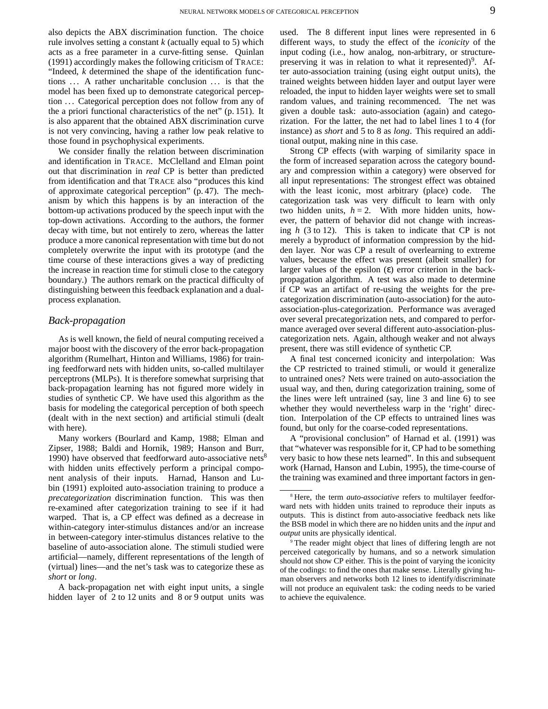also depicts the ABX discrimination function. The choice rule involves setting a constant *k* (actually equal to 5) which acts as a free parameter in a curve-fitting sense. Quinlan (1991) accordingly makes the following criticism of TRACE: "Indeed, *k* determined the shape of the identification functions ... A rather uncharitable conclusion ... is that the model has been fixed up to demonstrate categorical perception ... Categorical perception does not follow from any of the a priori functional characteristics of the net" (p. 151). It is also apparent that the obtained ABX discrimination curve is not very convincing, having a rather low peak relative to those found in psychophysical experiments.

We consider finally the relation between discrimination and identification in TRACE. McClelland and Elman point out that discrimination in *real* CP is better than predicted from identification and that TRACE also "produces this kind of approximate categorical perception" (p. 47). The mechanism by which this happens is by an interaction of the bottom-up activations produced by the speech input with the top-down activations. According to the authors, the former decay with time, but not entirely to zero, whereas the latter produce a more canonical representation with time but do not completely overwrite the input with its prototype (and the time course of these interactions gives a way of predicting the increase in reaction time for stimuli close to the category boundary.) The authors remark on the practical difficulty of distinguishing between this feedback explanation and a dualprocess explanation.

### *Back-propagation*

As is well known, the field of neural computing received a major boost with the discovery of the error back-propagation algorithm (Rumelhart, Hinton and Williams, 1986) for training feedforward nets with hidden units, so-called multilayer perceptrons (MLPs). It is therefore somewhat surprising that back-propagation learning has not figured more widely in studies of synthetic CP. We have used this algorithm as the basis for modeling the categorical perception of both speech (dealt with in the next section) and artificial stimuli (dealt with here).

Many workers (Bourlard and Kamp, 1988; Elman and Zipser, 1988; Baldi and Hornik, 1989; Hanson and Burr, 1990) have observed that feedforward auto-associative nets<sup>8</sup> with hidden units effectively perform a principal component analysis of their inputs. Harnad, Hanson and Lubin (1991) exploited auto-association training to produce a *precategorization* discrimination function. This was then re-examined after categorization training to see if it had warped. That is, a CP effect was defined as a decrease in within-category inter-stimulus distances and/or an increase in between-category inter-stimulus distances relative to the baseline of auto-association alone. The stimuli studied were artificial—namely, different representations of the length of (virtual) lines—and the net's task was to categorize these as *short* or *long*.

A back-propagation net with eight input units, a single hidden layer of 2 to 12 units and 8 or 9 output units was

used. The 8 different input lines were represented in 6 different ways, to study the effect of the *iconicity* of the input coding (i.e., how analog, non-arbitrary, or structurepreserving it was in relation to what it represented)<sup>9</sup>. After auto-association training (using eight output units), the trained weights between hidden layer and output layer were reloaded, the input to hidden layer weights were set to small random values, and training recommenced. The net was given a double task: auto-association (again) and categorization. For the latter, the net had to label lines 1 to 4 (for instance) as *short* and 5 to 8 as *long*. This required an additional output, making nine in this case.

Strong CP effects (with warping of similarity space in the form of increased separation across the category boundary and compression within a category) were observed for all input representations: The strongest effect was obtained with the least iconic, most arbitrary (place) code. The categorization task was very difficult to learn with only two hidden units,  $h = 2$ . With more hidden units, however, the pattern of behavior did not change with increasing *h* (3 to 12). This is taken to indicate that CP is not merely a byproduct of information compression by the hidden layer. Nor was CP a result of overlearning to extreme values, because the effect was present (albeit smaller) for larger values of the epsilon  $(\varepsilon)$  error criterion in the backpropagation algorithm. A test was also made to determine if CP was an artifact of re-using the weights for the precategorization discrimination (auto-association) for the autoassociation-plus-categorization. Performance was averaged over several precategorization nets, and compared to performance averaged over several different auto-association-pluscategorization nets. Again, although weaker and not always present, there was still evidence of synthetic CP.

A final test concerned iconicity and interpolation: Was the CP restricted to trained stimuli, or would it generalize to untrained ones? Nets were trained on auto-association the usual way, and then, during categorization training, some of the lines were left untrained (say, line 3 and line 6) to see whether they would nevertheless warp in the 'right' direction. Interpolation of the CP effects to untrained lines was found, but only for the coarse-coded representations.

A "provisional conclusion" of Harnad et al. (1991) was that "whatever was responsible for it, CP had to be something very basic to how these nets learned". In this and subsequent work (Harnad, Hanson and Lubin, 1995), the time-course of the training was examined and three important factors in gen-

<sup>8</sup> Here, the term *auto-associative* refers to multilayer feedforward nets with hidden units trained to reproduce their inputs as outputs. This is distinct from auto-associative feedback nets like the BSB model in which there are no hidden units and the *input* and *output* units are physically identical.

The reader might object that lines of differing length are not perceived categorically by humans, and so a network simulation should not show CP either. This is the point of varying the iconicity of the codings: to find the ones that make sense. Literally giving human observers and networks both 12 lines to identify/discriminate will not produce an equivalent task: the coding needs to be varied to achieve the equivalence.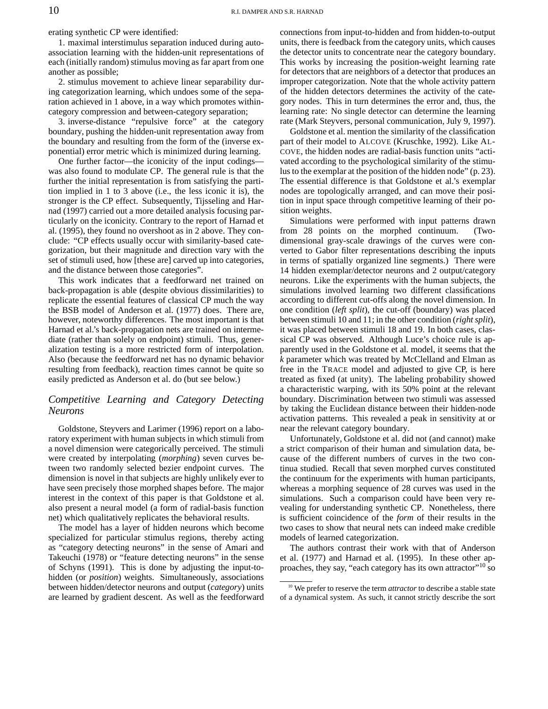erating synthetic CP were identified:

1. maximal interstimulus separation induced during autoassociation learning with the hidden-unit representations of each (initially random) stimulus moving as far apart from one another as possible;

2. stimulus movement to achieve linear separability during categorization learning, which undoes some of the separation achieved in 1 above, in a way which promotes withincategory compression and between-category separation;

3. inverse-distance "repulsive force" at the category boundary, pushing the hidden-unit representation away from the boundary and resulting from the form of the (inverse exponential) error metric which is minimized during learning.

One further factor—the iconicity of the input codings was also found to modulate CP. The general rule is that the further the initial representation is from satisfying the partition implied in 1 to 3 above (i.e., the less iconic it is), the stronger is the CP effect. Subsequently, Tijsseling and Harnad (1997) carried out a more detailed analysis focusing particularly on the iconicity. Contrary to the report of Harnad et al. (1995), they found no overshoot as in 2 above. They conclude: "CP effects usually occur with similarity-based categorization, but their magnitude and direction vary with the set of stimuli used, how [these are] carved up into categories, and the distance between those categories".

This work indicates that a feedforward net trained on back-propagation is able (despite obvious dissimilarities) to replicate the essential features of classical CP much the way the BSB model of Anderson et al. (1977) does. There are, however, noteworthy differences. The most important is that Harnad et al.'s back-propagation nets are trained on intermediate (rather than solely on endpoint) stimuli. Thus, generalization testing is a more restricted form of interpolation. Also (because the feedforward net has no dynamic behavior resulting from feedback), reaction times cannot be quite so easily predicted as Anderson et al. do (but see below.)

### *Competitive Learning and Category Detecting Neurons*

Goldstone, Steyvers and Larimer (1996) report on a laboratory experiment with human subjects in which stimuli from a novel dimension were categorically perceived. The stimuli were created by interpolating (*morphing*) seven curves between two randomly selected bezier endpoint curves. The dimension is novel in that subjects are highly unlikely ever to have seen precisely those morphed shapes before. The major interest in the context of this paper is that Goldstone et al. also present a neural model (a form of radial-basis function net) which qualitatively replicates the behavioral results.

The model has a layer of hidden neurons which become specialized for particular stimulus regions, thereby acting as "category detecting neurons" in the sense of Amari and Takeuchi (1978) or "feature detecting neurons" in the sense of Schyns (1991). This is done by adjusting the input-tohidden (or *position*) weights. Simultaneously, associations between hidden/detector neurons and output (*category*) units are learned by gradient descent. As well as the feedforward connections from input-to-hidden and from hidden-to-output units, there is feedback from the category units, which causes the detector units to concentrate near the category boundary. This works by increasing the position-weight learning rate for detectors that are neighbors of a detector that produces an improper categorization. Note that the whole activity pattern of the hidden detectors determines the activity of the category nodes. This in turn determines the error and, thus, the learning rate: No single detector can determine the learning rate (Mark Steyvers, personal communication, July 9, 1997).

Goldstone et al. mention the similarity of the classification part of their model to ALCOVE (Kruschke, 1992). Like AL-COVE, the hidden nodes are radial-basis function units "activated according to the psychological similarity of the stimulus to the exemplar at the position of the hidden node" (p. 23). The essential difference is that Goldstone et al.'s exemplar nodes are topologically arranged, and can move their position in input space through competitive learning of their position weights.

Simulations were performed with input patterns drawn from 28 points on the morphed continuum. (Twodimensional gray-scale drawings of the curves were converted to Gabor filter representations describing the inputs in terms of spatially organized line segments.) There were 14 hidden exemplar/detector neurons and 2 output/category neurons. Like the experiments with the human subjects, the simulations involved learning two different classifications according to different cut-offs along the novel dimension. In one condition (*left split*), the cut-off (boundary) was placed between stimuli 10 and 11; in the other condition (*right split*), it was placed between stimuli 18 and 19. In both cases, classical CP was observed. Although Luce's choice rule is apparently used in the Goldstone et al. model, it seems that the *k* parameter which was treated by McClelland and Elman as free in the TRACE model and adjusted to give CP, is here treated as fixed (at unity). The labeling probability showed a characteristic warping, with its 50% point at the relevant boundary. Discrimination between two stimuli was assessed by taking the Euclidean distance between their hidden-node activation patterns. This revealed a peak in sensitivity at or near the relevant category boundary.

Unfortunately, Goldstone et al. did not (and cannot) make a strict comparison of their human and simulation data, because of the different numbers of curves in the two continua studied. Recall that seven morphed curves constituted the continuum for the experiments with human participants, whereas a morphing sequence of 28 curves was used in the simulations. Such a comparison could have been very revealing for understanding synthetic CP. Nonetheless, there is sufficient coincidence of the *form* of their results in the two cases to show that neural nets can indeed make credible models of learned categorization.

The authors contrast their work with that of Anderson et al. (1977) and Harnad et al. (1995). In these other approaches, they say, "each category has its own attractor"<sup>10</sup> so

<sup>10</sup> We prefer to reserve the term *attractor* to describe a stable state of a dynamical system. As such, it cannot strictly describe the sort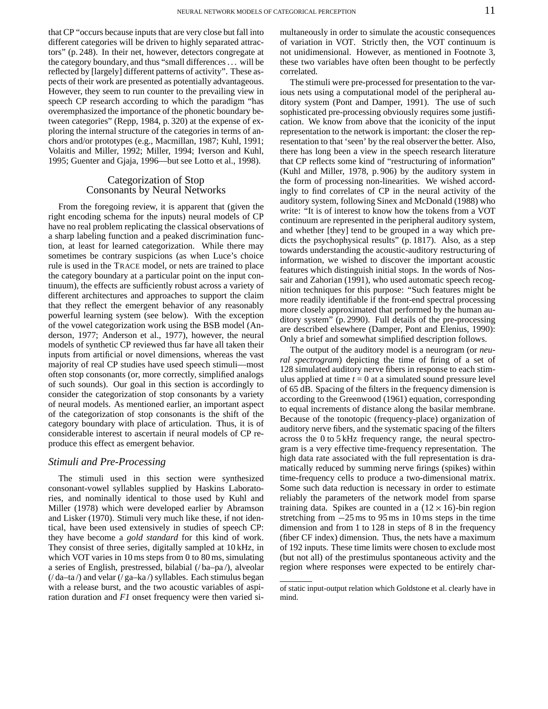that CP "occurs because inputs that are very close but fall into different categories will be driven to highly separated attractors" (p. 248). In their net, however, detectors congregate at the category boundary, and thus "small differences. . . will be reflected by [largely] different patterns of activity". These aspects of their work are presented as potentially advantageous. However, they seem to run counter to the prevailing view in speech CP research according to which the paradigm "has overemphasized the importance of the phonetic boundary between categories" (Repp, 1984, p. 320) at the expense of exploring the internal structure of the categories in terms of anchors and/or prototypes (e.g., Macmillan, 1987; Kuhl, 1991; Volaitis and Miller, 1992; Miller, 1994; Iverson and Kuhl, 1995; Guenter and Gjaja, 1996—but see Lotto et al., 1998).

### Categorization of Stop Consonants by Neural Networks

From the foregoing review, it is apparent that (given the right encoding schema for the inputs) neural models of CP have no real problem replicating the classical observations of a sharp labeling function and a peaked discrimination function, at least for learned categorization. While there may sometimes be contrary suspicions (as when Luce's choice rule is used in the TRACE model, or nets are trained to place the category boundary at a particular point on the input continuum), the effects are sufficiently robust across a variety of different architectures and approaches to support the claim that they reflect the emergent behavior of any reasonably powerful learning system (see below). With the exception of the vowel categorization work using the BSB model (Anderson, 1977; Anderson et al., 1977), however, the neural models of synthetic CP reviewed thus far have all taken their inputs from artificial or novel dimensions, whereas the vast majority of real CP studies have used speech stimuli—most often stop consonants (or, more correctly, simplified analogs of such sounds). Our goal in this section is accordingly to consider the categorization of stop consonants by a variety of neural models. As mentioned earlier, an important aspect of the categorization of stop consonants is the shift of the category boundary with place of articulation. Thus, it is of considerable interest to ascertain if neural models of CP reproduce this effect as emergent behavior.

### *Stimuli and Pre-Processing*

The stimuli used in this section were synthesized consonant-vowel syllables supplied by Haskins Laboratories, and nominally identical to those used by Kuhl and Miller (1978) which were developed earlier by Abramson and Lisker (1970). Stimuli very much like these, if not identical, have been used extensively in studies of speech CP: they have become a *gold standard* for this kind of work. They consist of three series, digitally sampled at 10 kHz, in which VOT varies in 10 ms steps from 0 to 80 ms, simulating a series of English, prestressed, bilabial (/ ba–pa /), alveolar  $($ / da–ta $/$ ) and velar  $($ / ga–ka $/$ ) syllables. Each stimulus began with a release burst, and the two acoustic variables of aspiration duration and *F1* onset frequency were then varied simultaneously in order to simulate the acoustic consequences of variation in VOT. Strictly then, the VOT continuum is not unidimensional. However, as mentioned in Footnote 3, these two variables have often been thought to be perfectly correlated.

The stimuli were pre-processed for presentation to the various nets using a computational model of the peripheral auditory system (Pont and Damper, 1991). The use of such sophisticated pre-processing obviously requires some justification. We know from above that the iconicity of the input representation to the network is important: the closer the representation to that 'seen' by the real observer the better. Also, there has long been a view in the speech research literature that CP reflects some kind of "restructuring of information" (Kuhl and Miller, 1978, p. 906) by the auditory system in the form of processing non-linearities. We wished accordingly to find correlates of CP in the neural activity of the auditory system, following Sinex and McDonald (1988) who write: "It is of interest to know how the tokens from a VOT continuum are represented in the peripheral auditory system, and whether [they] tend to be grouped in a way which predicts the psychophysical results" (p. 1817). Also, as a step towards understanding the acoustic-auditory restructuring of information, we wished to discover the important acoustic features which distinguish initial stops. In the words of Nossair and Zahorian (1991), who used automatic speech recognition techniques for this purpose: "Such features might be more readily identifiable if the front-end spectral processing more closely approximated that performed by the human auditory system" (p. 2990). Full details of the pre-processing are described elsewhere (Damper, Pont and Elenius, 1990): Only a brief and somewhat simplified description follows.

The output of the auditory model is a neurogram (or *neural spectrogram*) depicting the time of firing of a set of 128 simulated auditory nerve fibers in response to each stimulus applied at time  $t = 0$  at a simulated sound pressure level of 65 dB. Spacing of the filters in the frequency dimension is according to the Greenwood (1961) equation, corresponding to equal increments of distance along the basilar membrane. Because of the tonotopic (frequency-place) organization of auditory nerve fibers, and the systematic spacing of the filters across the 0 to 5 kHz frequency range, the neural spectrogram is a very effective time-frequency representation. The high data rate associated with the full representation is dramatically reduced by summing nerve firings (spikes) within time-frequency cells to produce a two-dimensional matrix. Some such data reduction is necessary in order to estimate reliably the parameters of the network model from sparse training data. Spikes are counted in a  $(12 \times 16)$ -bin region stretching from  $-25$  ms to 95 ms in 10 ms steps in the time dimension and from 1 to 128 in steps of 8 in the frequency (fiber CF index) dimension. Thus, the nets have a maximum of 192 inputs. These time limits were chosen to exclude most (but not all) of the prestimulus spontaneous activity and the region where responses were expected to be entirely char-

of static input-output relation which Goldstone et al. clearly have in mind.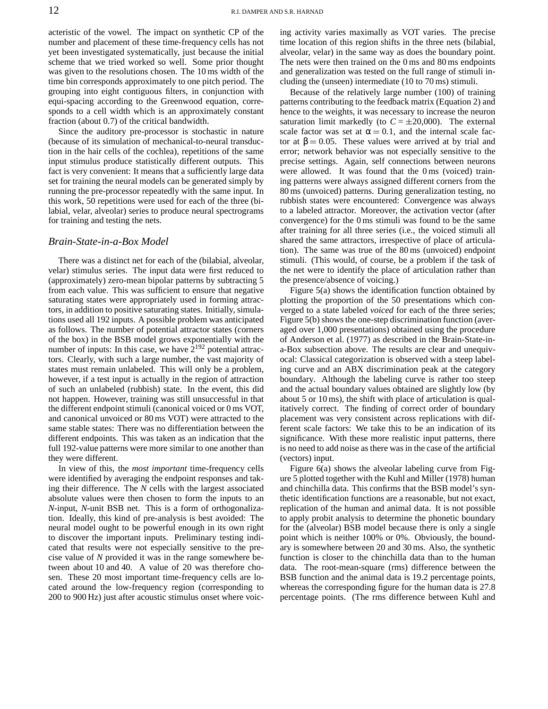acteristic of the vowel. The impact on synthetic CP of the number and placement of these time-frequency cells has not yet been investigated systematically, just because the initial scheme that we tried worked so well. Some prior thought was given to the resolutions chosen. The 10 ms width of the time bin corresponds approximately to one pitch period. The grouping into eight contiguous filters, in conjunction with equi-spacing according to the Greenwood equation, corresponds to a cell width which is an approximately constant fraction (about 0.7) of the critical bandwidth.

Since the auditory pre-processor is stochastic in nature (because of its simulation of mechanical-to-neural transduction in the hair cells of the cochlea), repetitions of the same input stimulus produce statistically different outputs. This fact is very convenient: It means that a sufficiently large data set for training the neural models can be generated simply by running the pre-processor repeatedly with the same input. In this work, 50 repetitions were used for each of the three (bilabial, velar, alveolar) series to produce neural spectrograms for training and testing the nets.

### *Brain-State-in-a-Box Model*

There was a distinct net for each of the (bilabial, alveolar, velar) stimulus series. The input data were first reduced to (approximately) zero-mean bipolar patterns by subtracting 5 from each value. This was sufficient to ensure that negative saturating states were appropriately used in forming attractors, in addition to positive saturating states. Initially, simulations used all 192 inputs. A possible problem was anticipated as follows. The number of potential attractor states (corners of the box) in the BSB model grows exponentially with the number of inputs: In this case, we have  $2^{192}$  potential attractors. Clearly, with such a large number, the vast majority of states must remain unlabeled. This will only be a problem, however, if a test input is actually in the region of attraction of such an unlabeled (rubbish) state. In the event, this did not happen. However, training was still unsuccessful in that the different endpoint stimuli (canonical voiced or 0 ms VOT, and canonical unvoiced or 80 ms VOT) were attracted to the same stable states: There was no differentiation between the different endpoints. This was taken as an indication that the full 192-value patterns were more similar to one another than they were different.

In view of this, the *most important* time-frequency cells were identified by averaging the endpoint responses and taking their difference. The *N* cells with the largest associated absolute values were then chosen to form the inputs to an *N*-input, *N*-unit BSB net. This is a form of orthogonalization. Ideally, this kind of pre-analysis is best avoided: The neural model ought to be powerful enough in its own right to discover the important inputs. Preliminary testing indicated that results were not especially sensitive to the precise value of *N* provided it was in the range somewhere between about 10 and 40. A value of 20 was therefore chosen. These 20 most important time-frequency cells are located around the low-frequency region (corresponding to 200 to 900 Hz) just after acoustic stimulus onset where voicing activity varies maximally as VOT varies. The precise time location of this region shifts in the three nets (bilabial, alveolar, velar) in the same way as does the boundary point. The nets were then trained on the 0 ms and 80 ms endpoints and generalization was tested on the full range of stimuli including the (unseen) intermediate (10 to 70 ms) stimuli.

Because of the relatively large number (100) of training patterns contributing to the feedback matrix (Equation 2) and hence to the weights, it was necessary to increase the neuron saturation limit markedly (to  $C = \pm 20,000$ ). The external scale factor was set at  $\alpha = 0.1$ , and the internal scale factor at  $\beta = 0.05$ . These values were arrived at by trial and error; network behavior was not especially sensitive to the precise settings. Again, self connections between neurons were allowed. It was found that the 0 ms (voiced) training patterns were always assigned different corners from the 80 ms (unvoiced) patterns. During generalization testing, no rubbish states were encountered: Convergence was always to a labeled attractor. Moreover, the activation vector (after convergence) for the 0 ms stimuli was found to be the same after training for all three series (i.e., the voiced stimuli all shared the same attractors, irrespective of place of articulation). The same was true of the 80 ms (unvoiced) endpoint stimuli. (This would, of course, be a problem if the task of the net were to identify the place of articulation rather than the presence/absence of voicing.)

Figure 5(a) shows the identification function obtained by plotting the proportion of the 50 presentations which converged to a state labeled *voiced* for each of the three series; Figure 5(b) shows the one-step discrimination function (averaged over 1,000 presentations) obtained using the procedure of Anderson et al. (1977) as described in the Brain-State-ina-Box subsection above. The results are clear and unequivocal: Classical categorization is observed with a steep labeling curve and an ABX discrimination peak at the category boundary. Although the labeling curve is rather too steep and the actual boundary values obtained are slightly low (by about 5 or 10 ms), the shift with place of articulation is qualitatively correct. The finding of correct order of boundary placement was very consistent across replications with different scale factors: We take this to be an indication of its significance. With these more realistic input patterns, there is no need to add noise asthere was in the case of the artificial (vectors) input.

Figure 6(a) shows the alveolar labeling curve from Figure 5 plotted together with the Kuhl and Miller (1978) human and chinchilla data. This confirms that the BSB model's synthetic identification functions are a reasonable, but not exact, replication of the human and animal data. It is not possible to apply probit analysis to determine the phonetic boundary for the (alveolar) BSB model because there is only a single point which is neither 100% or 0%. Obviously, the boundary is somewhere between 20 and 30 ms. Also, the synthetic function is closer to the chinchilla data than to the human data. The root-mean-square (rms) difference between the BSB function and the animal data is 19.2 percentage points, whereas the corresponding figure for the human data is 27.8 percentage points. (The rms difference between Kuhl and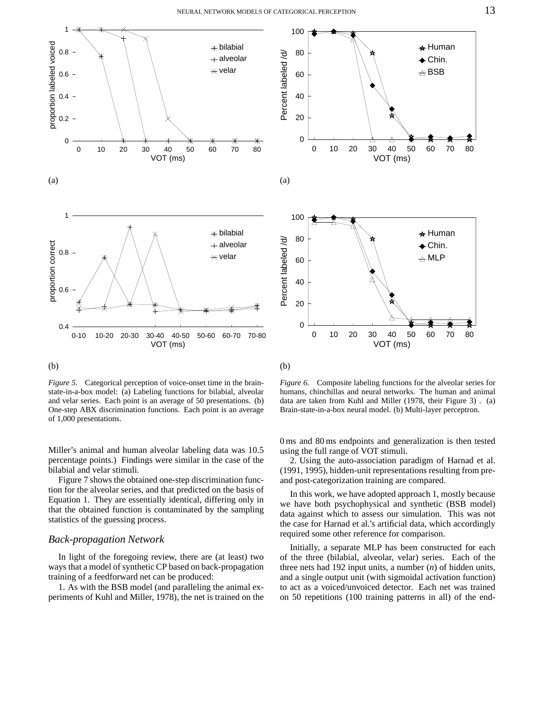![](_page_12_Figure_1.jpeg)

#### (b)

*Figure 5*. Categorical perception of voice-onset time in the brainstate-in-a-box model: (a) Labeling functions for bilabial, alveolar and velar series. Each point is an average of 50 presentations. (b) One-step ABX discrimination functions. Each point is an average of 1,000 presentations.

Miller's animal and human alveolar labeling data was 10.5 percentage points.) Findings were similar in the case of the bilabial and velar stimuli.

Figure 7 shows the obtained one-step discrimination function for the alveolar series, and that predicted on the basis of Equation 1. They are essentially identical, differing only in that the obtained function is contaminated by the sampling statistics of the guessing process.

### *Back-propagation Network*

In light of the foregoing review, there are (at least) two ways that a model of synthetic CP based on back-propagation training of a feedforward net can be produced:

1. As with the BSB model (and paralleling the animal experiments of Kuhl and Miller, 1978), the net is trained on the

![](_page_12_Figure_9.jpeg)

![](_page_12_Figure_10.jpeg)

*Figure* 6. Composite labeling functions for the alveolar series for humans, chinchillas and neural networks. The human and animal data are taken from Kuhl and Miller (1978, their Figure 3) . (a) Brain-state-in-a-box neural model. (b) Multi-layer perceptron.

0 ms and 80 ms endpoints and generalization is then tested using the full range of VOT stimuli.

2. Using the auto-association paradigm of Harnad et al. (1991, 1995), hidden-unit representations resulting from preand post-categorization training are compared.

In this work, we have adopted approach 1, mostly because we have both psychophysical and synthetic (BSB model) data against which to assess our simulation. This was not the case for Harnad et al.'s artificial data, which accordingly required some other reference for comparison.

Initially, a separate MLP has been constructed for each of the three (bilabial, alveolar, velar) series. Each of the three nets had 192 input units, a number (*n*) of hidden units, and a single output unit (with sigmoidal activation function) to act as a voiced/unvoiced detector. Each net was trained on 50 repetitions (100 training patterns in all) of the end-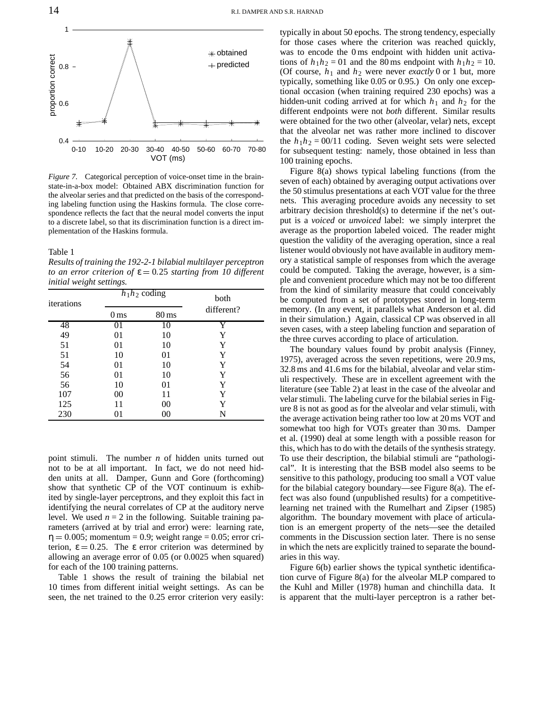![](_page_13_Figure_1.jpeg)

*Figure 7*. Categorical perception of voice-onset time in the brainstate-in-a-box model: Obtained ABX discrimination function for the alveolar series and that predicted on the basis of the corresponding labeling function using the Haskins formula. The close correspondence reflects the fact that the neural model converts the input to a discrete label, so that its discrimination function is a direct implementation of the Haskins formula.

Table 1

*Results of training the 192-2-1 bilabial multilayer perceptron to an* error criterion of  $\varepsilon = 0.25$  *starting* from 10 different *initial weight settings.*

| iterations | $h_1h_2$ coding                       |    | both       |
|------------|---------------------------------------|----|------------|
|            | $80 \,\mathrm{ms}$<br>0 <sub>ms</sub> |    | different? |
| 48         | 01                                    | 10 | Y          |
| 49         | 01                                    | 10 | Y          |
| 51         | 01                                    | 10 | Y          |
| 51         | 10                                    | 01 | Y          |
| 54         | 01                                    | 10 | Y          |
| 56         | 01                                    | 10 | Y          |
| 56         | 10                                    | 01 | Y          |
| 107        | 00                                    | 11 | Y          |
| 125        | 11                                    | 00 | Y          |
| 230        |                                       | 00 | N          |

point stimuli. The number *n* of hidden units turned out not to be at all important. In fact, we do not need hidden units at all. Damper, Gunn and Gore (forthcoming) show that synthetic CP of the VOT continuum is exhibited by single-layer perceptrons, and they exploit this fact in identifying the neural correlates of CP at the auditory nerve level. We used  $n = 2$  in the following. Suitable training parameters (arrived at by trial and error) were: learning rate,  $\eta = 0.005$ ; momentum = 0.9; weight range = 0.05; error criterion,  $\epsilon = 0.25$ . The  $\epsilon$  error criterion was determined by allowing an average error of 0.05 (or 0.0025 when squared) for each of the 100 training patterns.

Table 1 shows the result of training the bilabial net 10 times from different initial weight settings. As can be seen, the net trained to the 0.25 error criterion very easily:

typically in about 50 epochs. The strong tendency, especially for those cases where the criterion was reached quickly, was to encode the 0 ms endpoint with hidden unit activations of  $h_1h_2 = 01$  and the 80 ms endpoint with  $h_1h_2 = 10$ . (Of course,  $h_1$  and  $h_2$  were never *exactly* 0 or 1 but, more typically, something like 0.05 or 0.95.) On only one exceptional occasion (when training required 230 epochs) was a hidden-unit coding arrived at for which  $h_1$  and  $h_2$  for the different endpoints were not *both* different. Similar results were obtained for the two other (alveolar, velar) nets, except that the alveolar net was rather more inclined to discover the  $h_1h_2 = 00/11$  coding. Seven weight sets were selected for subsequent testing: namely, those obtained in less than 100 training epochs.

Figure 8(a) shows typical labeling functions (from the seven of each) obtained by averaging output activations over the 50 stimulus presentations at each VOT value for the three nets. This averaging procedure avoids any necessity to set arbitrary decision threshold(s) to determine if the net's output is a *voiced* or *unvoiced* label: we simply interpret the average as the proportion labeled voiced. The reader might question the validity of the averaging operation, since a real listener would obviously not have available in auditory memory a statistical sample of responses from which the average could be computed. Taking the average, however, is a simple and convenient procedure which may not be too different from the kind of similarity measure that could conceivably be computed from a set of prototypes stored in long-term memory. (In any event, it parallels what Anderson et al. did in their simulation.) Again, classical CP was observed in all seven cases, with a steep labeling function and separation of the three curves according to place of articulation.

The boundary values found by probit analysis (Finney, 1975), averaged across the seven repetitions, were 20.9 ms, 32.8 ms and 41.6 ms for the bilabial, alveolar and velar stimuli respectively. These are in excellent agreement with the literature (see Table 2) at least in the case of the alveolar and velar stimuli. The labeling curve for the bilabial series in Figure 8 is not as good as for the alveolar and velar stimuli, with the average activation being rather too low at 20 ms VOT and somewhat too high for VOTs greater than 30 ms. Damper et al. (1990) deal at some length with a possible reason for this, which has to do with the details of the synthesis strategy. To use their description, the bilabial stimuli are "pathological". It is interesting that the BSB model also seems to be sensitive to this pathology, producing too small a VOT value for the bilabial category boundary—see Figure 8(a). The effect was also found (unpublished results) for a competitivelearning net trained with the Rumelhart and Zipser (1985) algorithm. The boundary movement with place of articulation is an emergent property of the nets—see the detailed comments in the Discussion section later. There is no sense in which the nets are explicitly trained to separate the boundaries in this way.

Figure 6(b) earlier shows the typical synthetic identification curve of Figure 8(a) for the alveolar MLP compared to the Kuhl and Miller (1978) human and chinchilla data. It is apparent that the multi-layer perceptron is a rather bet-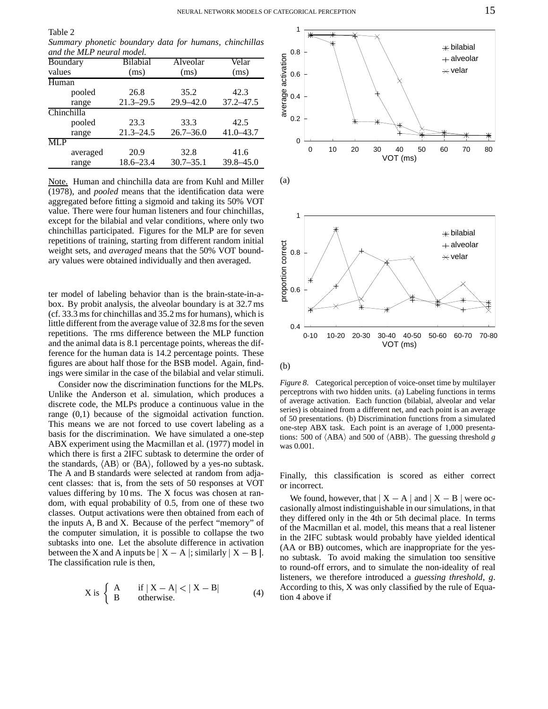Table 2 *Summary phonetic boundary data for humans, chinchillas and the MLP neural model.*

| Boundary                | <b>Bilabial</b> | Alveolar      | Velar<br>(ms) |  |
|-------------------------|-----------------|---------------|---------------|--|
| values                  | (ms)            | (ms)          |               |  |
| Human                   |                 |               |               |  |
| pooled                  | 26.8            | 35.2          | 42.3          |  |
| range                   | $21.3 - 29.5$   | 29.9-42.0     | $37.2 - 47.5$ |  |
| Chinchilla              |                 |               |               |  |
| pooled                  | 23.3            | 33.3          | 42.5          |  |
| range                   | $21.3 - 24.5$   | $26.7 - 36.0$ | $41.0 - 43.7$ |  |
| $\overline{\text{MLP}}$ |                 |               |               |  |
| averaged                | 20.9            | 32.8          | 41.6          |  |
| range                   | 18.6–23.4       | $30.7 - 35.1$ | $39.8 - 45.0$ |  |

Note. Human and chinchilla data are from Kuhl and Miller (1978), and *pooled* means that the identification data were aggregated before fitting a sigmoid and taking its 50% VOT value. There were four human listeners and four chinchillas, except for the bilabial and velar conditions, where only two chinchillas participated. Figures for the MLP are for seven repetitions of training, starting from different random initial weight sets, and *averaged* means that the 50% VOT boundary values were obtained individually and then averaged.

ter model of labeling behavior than is the brain-state-in-abox. By probit analysis, the alveolar boundary is at 32.7 ms  $(cf. 33.3 \text{ ms}$  for chinchillas and  $35.2 \text{ ms}$  for humans), which is little different from the average value of 32.8 ms for the seven repetitions. The rms difference between the MLP function and the animal data is 8.1 percentage points, whereas the difference for the human data is 14.2 percentage points. These figures are about half those for the BSB model. Again, findings were similar in the case of the bilabial and velar stimuli.

Consider now the discrimination functions for the MLPs. Unlike the Anderson et al. simulation, which produces a discrete code, the MLPs produce a continuous value in the range (0,1) because of the sigmoidal activation function. This means we are not forced to use covert labeling as a basis for the discrimination. We have simulated a one-step ABX experiment using the Macmillan et al. (1977) model in which there is first a 2IFC subtask to determine the order of the standards,  $\langle AB \rangle$  or  $\langle BA \rangle$ , followed by a yes-no subtask. The A and B standards were selected at random from adjacent classes: that is, from the sets of 50 responses at VOT values differing by 10 ms. The X focus was chosen at random, with equal probability of 0.5, from one of these two classes. Output activations were then obtained from each of the inputs A, B and X. Because of the perfect "memory" of the computer simulation, it is possible to collapse the two subtasks into one. Let the absolute difference in activation between the X and A inputs be  $|X - A|$ ; similarly  $|X - B|$ . no si The classification rule is then,

$$
X \text{ is } \begin{cases} A & \text{if } |X - A| < |X - B| \\ B & \text{otherwise.} \end{cases} \tag{4}
$$

![](_page_14_Figure_7.jpeg)

(b)

*Figure 8*. Categorical perception of voice-onset time by multilayer perceptrons with two hidden units. (a) Labeling functions in terms of average activation. Each function (bilabial, alveolar and velar series) is obtained from a different net, and each point is an average of 50 presentations. (b) Discrimination functions from a simulated one-step ABX task. Each point is an average of 1,000 presentations: 500 of  $\langle ABA \rangle$  and 500 of  $\langle ABB \rangle$ . The guessing threshold *g* was 0.001.

Finally, this classification is scored as either correct or incorrect.

We found, however, that  $X - A$  and  $X - B$  were occasionally almost indistinguishable in our simulations, in that they differed only in the 4th or 5th decimal place. In terms of the Macmillan et al. model, this means that a real listener in the 2IFC subtask would probably have yielded identical (AA or BB) outcomes, which are inappropriate for the yesno subtask. To avoid making the simulation too sensitive to round-off errors, and to simulate the non-ideality of real listeners, we therefore introduced a *guessing threshold*, *g*. According to this, X was only classified by the rule of Equation 4 above if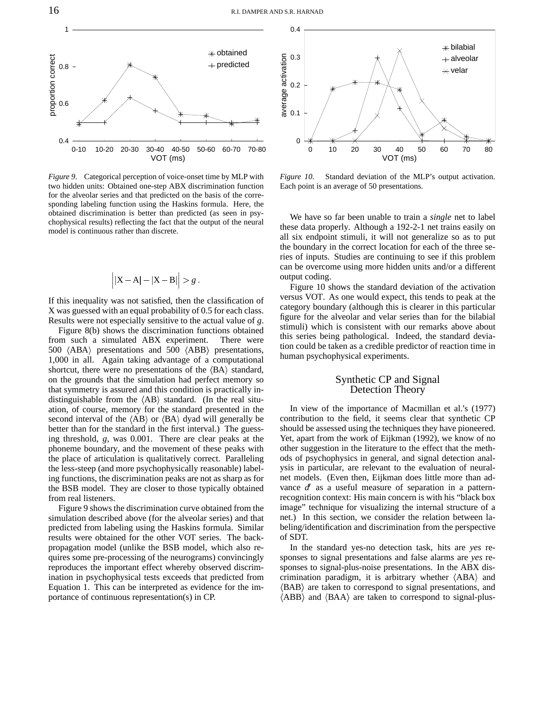![](_page_15_Figure_1.jpeg)

*Figure 9*. Categorical perception of voice-onset time by MLP with two hidden units: Obtained one-step ABX discrimination function for the alveolar series and that predicted on the basis of the corresponding labeling function using the Haskins formula. Here, the obtained discrimination is better than predicted (as seen in psychophysical results) reflecting the fact that the output of the neural model is continuous rather than discrete.

$$
\left| \left| X - A \right| - \left| X - B \right| \right| > g \, .
$$

If this inequality was not satisfied, then the classification of X was guessed with an equal probability of 0.5 for each class. Results were not especially sensitive to the actual value of *g*.

Figure 8(b) shows the discrimination functions obtained from such a simulated ABX experiment. There were 500 { ABA<sup>|</sup> presentations and 500 { ABB<sup>|</sup> presentations, 1,000 in all. Again taking advantage of a computational shortcut, there were no presentations of the  $\langle BA \rangle$  standard, on the grounds that the simulation had perfect memory so that symmetry is assured and this condition is practically indistinguishable from the  $\langle AB \rangle$  standard. (In the real situation, of course, memory for the standard presented in the second interval of the  $\langle AB \rangle$  or  $\langle BA \rangle$  dyad will generally be better than for the standard in the first interval.) The guessing threshold, *g*, was 0.001. There are clear peaks at the phoneme boundary, and the movement of these peaks with the place of articulation is qualitatively correct. Paralleling the less-steep (and more psychophysically reasonable) labeling functions, the discrimination peaks are not as sharp as for the BSB model. They are closer to those typically obtained from real listeners.

Figure 9 shows the discrimination curve obtained from the simulation described above (for the alveolar series) and that predicted from labeling using the Haskins formula. Similar results were obtained for the other VOT series. The backpropagation model (unlike the BSB model, which also requires some pre-processing of the neurograms) convincingly reproduces the important effect whereby observed discrimination in psychophysical tests exceeds that predicted from Equation 1. This can be interpreted as evidence for the importance of continuous representation(s) in CP.

![](_page_15_Figure_7.jpeg)

*Figure 10*. Standard deviation of the MLP's output activation. Each point is an average of 50 presentations.

We have so far been unable to train a *single* net to label these data properly. Although a 192-2-1 net trains easily on all six endpoint stimuli, it will not generalize so as to put the boundary in the correct location for each of the three series of inputs. Studies are continuing to see if this problem can be overcome using more hidden units and/or a different output coding.

Figure 10 shows the standard deviation of the activation versus VOT. As one would expect, this tends to peak at the category boundary (although this is clearer in this particular figure for the alveolar and velar series than for the bilabial stimuli) which is consistent with our remarks above about this series being pathological. Indeed, the standard deviation could be taken as a credible predictor of reaction time in human psychophysical experiments.

### Synthetic CP and Signal Detection Theory

In view of the importance of Macmillan et al.'s (1977) contribution to the field, it seems clear that synthetic CP should be assessed using the techniques they have pioneered. Yet, apart from the work of Eijkman (1992), we know of no other suggestion in the literature to the effect that the methods of psychophysics in general, and signal detection analysis in particular, are relevant to the evaluation of neuralnet models. (Even then, Eijkman does little more than advance  $d'$  as a useful measure of separation in a patternrecognition context: His main concern is with his "black box image" technique for visualizing the internal structure of a net.) In this section, we consider the relation between labeling/identification and discrimination from the perspective of SDT.

In the standard yes-no detection task, hits are *yes* responses to signal presentations and false alarms are *yes* responses to signal-plus-noise presentations. In the ABX discrimination paradigm, it is arbitrary whether  $\langle ABA \rangle$  and { BAB<sup>|</sup> are taken to correspond to signal presentations, and  $\langle ABB \rangle$  and  $\langle BAA \rangle$  are taken to correspond to signal-plus-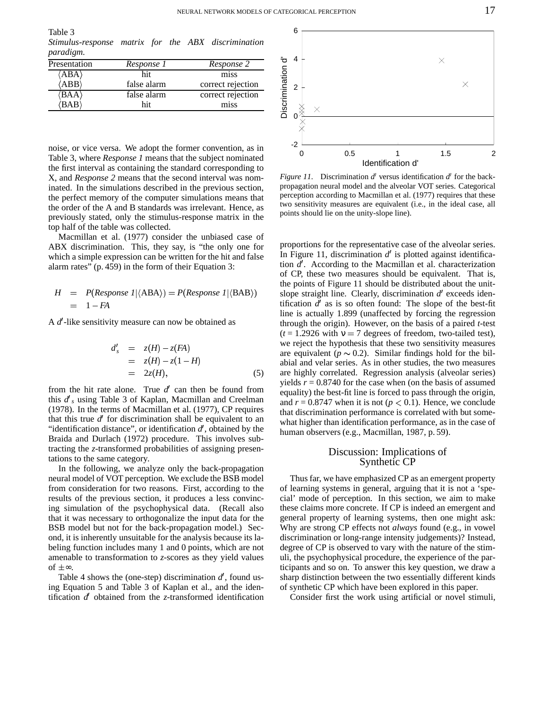Table 3 *Stimulus-response matrix for the ABX discrimination paradigm.*

| Presentation          | Response 1  | Response 2        |
|-----------------------|-------------|-------------------|
| $\langle ABA \rangle$ | hit         | miss              |
| $\langle ABB \rangle$ | false alarm | correct rejection |
| 'BAA                  | false alarm | correct rejection |
| BAB                   | hit         | miss              |

noise, or vice versa. We adopt the former convention, as in Table 3, where *Response 1* means that the subject nominated the first interval as containing the standard corresponding to X, and *Response 2* means that the second interval was nominated. In the simulations described in the previous section, the perfect memory of the computer simulations means that the order of the A and B standards was irrelevant. Hence, as previously stated, only the stimulus-response matrix in the top half of the table was collected.

Macmillan et al. (1977) consider the unbiased case of ABX discrimination. This, they say, is "the only one for which a simple expression can be written for the hit and false alarm rates" (p. 459) in the form of their Equation 3:

$$
H = P(Response \mid \langle ABA \rangle) = P(Response \mid \langle BAB \rangle)
$$
  
= 1 - FA

A d'-like sensitivity measure can now be obtained as

$$
d'_{s} = z(H) - z(FA)
$$
  
=  $z(H) - z(1 - H)$   
=  $2z(H)$ , (5)

from the hit rate alone. True  $d'$  can then be found from this  $d'$ <sub>s</sub> using Table 3 of Kaplan, Macmillan and Creelman (1978). In the terms of Macmillan et al. (1977), CP requires that this true  $d'$  for discrimination shall be equivalent to an "identification distance", or identification  $d'$ , obtained by the Braida and Durlach (1972) procedure. This involves subtracting the *z*-transformed probabilities of assigning presentations to the same category.

In the following, we analyze only the back-propagation neural model of VOT perception. We exclude the BSB model from consideration for two reasons. First, according to the results of the previous section, it produces a less convincing simulation of the psychophysical data. (Recall also that it was necessary to orthogonalize the input data for the BSB model but not for the back-propagation model.) Second, it is inherently unsuitable for the analysis because its labeling function includes many 1 and 0 points, which are not amenable to transformation to *z*-scores as they yield values of  $\pm \infty$ .

Table 4 shows the (one-step) discrimination  $d'$ , found using Equation 5 and Table 3 of Kaplan et al., and the identification  $d'$  obtained from the *z*-transformed identification

![](_page_16_Figure_11.jpeg)

*Figure 11.* Discrimination  $d'$  versus identification  $d'$  for the backpropagation neural model and the alveolar VOT series. Categorical perception according to Macmillan et al. (1977) requires that these two sensitivity measures are equivalent (i.e., in the ideal case, all points should lie on the unity-slope line).

proportions for the representative case of the alveolar series. In Figure 11, discrimination  $d'$  is plotted against identification d'. According to the Macmillan et al. characterization of CP, these two measures should be equivalent. That is, the points of Figure 11 should be distributed about the unitslope straight line. Clearly, discrimination d'exceeds identification  $d'$  as is so often found: The slope of the best-fit line is actually 1.899 (unaffected by forcing the regression through the origin). However, on the basis of a paired *t*-test  $(t = 1.2926$  with  $v = 7$  degrees of freedom, two-tailed test), we reject the hypothesis that these two sensitivity measures are equivalent ( $p \sim 0.2$ ). Similar findings hold for the bilabial and velar series. As in other studies, the two measures are highly correlated. Regression analysis (alveolar series) yields  $r = 0.8740$  for the case when (on the basis of assumed equality) the best-fit line is forced to pass through the origin, and  $r = 0.8747$  when it is not ( $p < 0.1$ ). Hence, we conclude that discrimination performance is correlated with but somewhat higher than identification performance, as in the case of human observers (e.g., Macmillan, 1987, p. 59).

### Discussion: Implications of Synthetic CP

Thus far, we have emphasized CP as an emergent property of learning systems in general, arguing that it is not a 'special' mode of perception. In this section, we aim to make these claims more concrete. If CP is indeed an emergent and general property of learning systems, then one might ask: Why are strong CP effects not *always* found (e.g., in vowel discrimination or long-range intensity judgements)? Instead, degree of CP is observed to vary with the nature of the stimuli, the psychophysical procedure, the experience of the participants and so on. To answer this key question, we draw a sharp distinction between the two essentially different kinds of synthetic CP which have been explored in this paper.

Consider first the work using artificial or novel stimuli,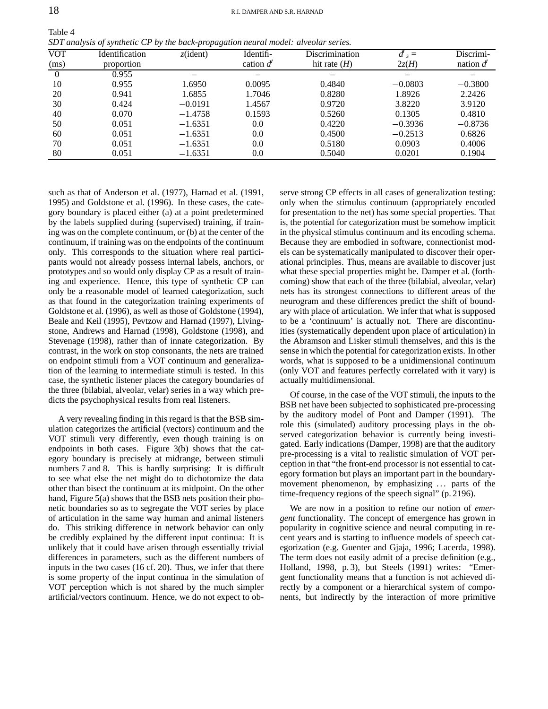| Table 4                                                                             |  |
|-------------------------------------------------------------------------------------|--|
| SDT analysis of synthetic CP by the back-propagation neural model: alveolar series. |  |

| <b>VOT</b><br>(ms) | Identification<br>proportion | $z$ (ident) | Identifi-<br>cation $d'$ | <b>Discrimination</b><br>hit rate $(H)$ | $d'$ <sub>s</sub> =<br>2z(H) | Discrimi-<br>nation $d'$ |
|--------------------|------------------------------|-------------|--------------------------|-----------------------------------------|------------------------------|--------------------------|
| $\theta$           | 0.955                        | -           |                          |                                         |                              |                          |
| 10                 | 0.955                        | 1.6950      | 0.0095                   | 0.4840                                  | $-0.0803$                    | $-0.3800$                |
| 20                 | 0.941                        | 1.6855      | 1.7046                   | 0.8280                                  | 1.8926                       | 2.2426                   |
| 30                 | 0.424                        | $-0.0191$   | 1.4567                   | 0.9720                                  | 3.8220                       | 3.9120                   |
| 40                 | 0.070                        | $-1.4758$   | 0.1593                   | 0.5260                                  | 0.1305                       | 0.4810                   |
| 50                 | 0.051                        | $-1.6351$   | 0.0                      | 0.4220                                  | $-0.3936$                    | $-0.8736$                |
| 60                 | 0.051                        | $-1.6351$   | 0.0                      | 0.4500                                  | $-0.2513$                    | 0.6826                   |
| 70                 | 0.051                        | $-1.6351$   | 0.0                      | 0.5180                                  | 0.0903                       | 0.4006                   |
| 80                 | 0.051                        | $-1.6351$   | 0.0                      | 0.5040                                  | 0.0201                       | 0.1904                   |

such as that of Anderson et al. (1977), Harnad et al. (1991, 1995) and Goldstone et al. (1996). In these cases, the category boundary is placed either (a) at a point predetermined by the labels supplied during (supervised) training, if training was on the complete continuum, or (b) at the center of the continuum, if training was on the endpoints of the continuum only. This corresponds to the situation where real participants would not already possess internal labels, anchors, or prototypes and so would only display CP as a result of training and experience. Hence, this type of synthetic CP can only be a reasonable model of learned categorization, such as that found in the categorization training experiments of Goldstone et al. (1996), as well as those of Goldstone (1994), Beale and Keil (1995), Pevtzow and Harnad (1997), Livingstone, Andrews and Harnad (1998), Goldstone (1998), and Stevenage (1998), rather than of innate categorization. By contrast, in the work on stop consonants, the nets are trained on endpoint stimuli from a VOT continuum and generalization of the learning to intermediate stimuli is tested. In this case, the synthetic listener places the category boundaries of the three (bilabial, alveolar, velar) series in a way which predicts the psychophysical results from real listeners.

A very revealing finding in this regard is that the BSB simulation categorizes the artificial (vectors) continuum and the VOT stimuli very differently, even though training is on endpoints in both cases. Figure 3(b) shows that the category boundary is precisely at midrange, between stimuli numbers 7 and 8. This is hardly surprising: It is difficult to see what else the net might do to dichotomize the data other than bisect the continuum at its midpoint. On the other hand, Figure 5(a) shows that the BSB nets position their phonetic boundaries so as to segregate the VOT series by place of articulation in the same way human and animal listeners do. This striking difference in network behavior can only be credibly explained by the different input continua: It is unlikely that it could have arisen through essentially trivial differences in parameters, such as the different numbers of inputs in the two cases (16 cf. 20). Thus, we infer that there is some property of the input continua in the simulation of VOT perception which is not shared by the much simpler artificial/vectors continuum. Hence, we do not expect to observe strong CP effects in all cases of generalization testing: only when the stimulus continuum (appropriately encoded for presentation to the net) has some special properties. That is, the potential for categorization must be somehow implicit in the physical stimulus continuum and its encoding schema. Because they are embodied in software, connectionist models can be systematically manipulated to discover their operational principles. Thus, means are available to discover just what these special properties might be. Damper et al. (forthcoming) show that each of the three (bilabial, alveolar, velar) nets has its strongest connections to different areas of the neurogram and these differences predict the shift of boundary with place of articulation. We infer that what is supposed to be a 'continuum' is actually not. There are discontinuities (systematically dependent upon place of articulation) in the Abramson and Lisker stimuli themselves, and this is the sense in which the potential for categorization exists. In other words, what is supposed to be a unidimensional continuum (only VOT and features perfectly correlated with it vary) is actually multidimensional.

Of course, in the case of the VOT stimuli, the inputs to the BSB net have been subjected to sophisticated pre-processing by the auditory model of Pont and Damper (1991). The role this (simulated) auditory processing plays in the observed categorization behavior is currently being investigated. Early indications (Damper, 1998) are that the auditory pre-processing is a vital to realistic simulation of VOT perception in that "the front-end processor is not essential to category formation but plays an important part in the boundarymovement phenomenon, by emphasizing ... parts of the time-frequency regions of the speech signal" (p. 2196).

We are now in a position to refine our notion of *emergent* functionality. The concept of emergence has grown in popularity in cognitive science and neural computing in recent years and is starting to influence models of speech categorization (e.g. Guenter and Gjaja, 1996; Lacerda, 1998). The term does not easily admit of a precise definition (e.g., Holland, 1998, p. 3), but Steels (1991) writes: "Emergent functionality means that a function is not achieved directly by a component or a hierarchical system of components, but indirectly by the interaction of more primitive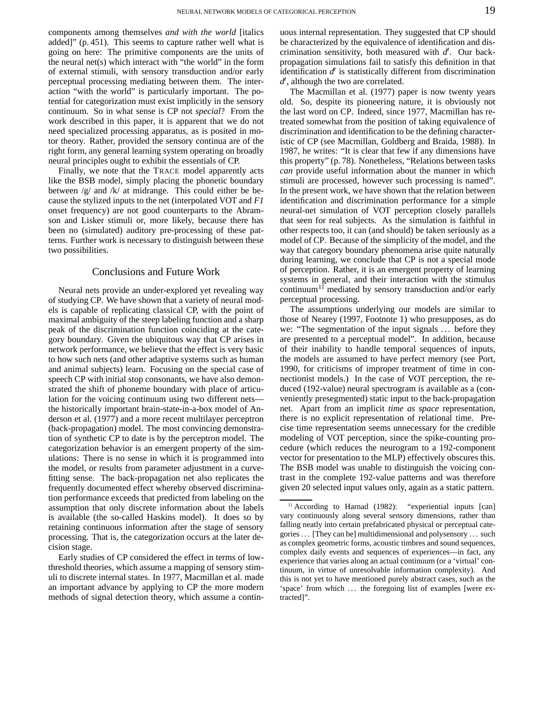components among themselves *and with the world* [italics added]" (p. 451). This seems to capture rather well what is going on here: The primitive components are the units of the neural net(s) which interact with "the world" in the form of external stimuli, with sensory transduction and/or early perceptual processing mediating between them. The interaction "with the world" is particularly important. The potential for categorization must exist implicitly in the sensory continuum. So in what sense is CP not *special*? From the work described in this paper, it is apparent that we do not need specialized processing apparatus, as is posited in motor theory. Rather, provided the sensory continua are of the right form, any general learning system operating on broadly neural principles ought to exhibit the essentials of CP.

Finally, we note that the TRACE model apparently acts like the BSB model, simply placing the phonetic boundary between /g/ and /k/ at midrange. This could either be because the stylized inputs to the net (interpolated VOT and *F1* onset frequency) are not good counterparts to the Abramson and Lisker stimuli or, more likely, because there has been no (simulated) auditory pre-processing of these patterns. Further work is necessary to distinguish between these two possibilities.

### Conclusions and Future Work

Neural nets provide an under-explored yet revealing way of studying CP. We have shown that a variety of neural models is capable of replicating classical CP, with the point of maximal ambiguity of the steep labeling function and a sharp peak of the discrimination function coinciding at the category boundary. Given the ubiquitous way that CP arises in network performance, we believe that the effect is very basic to how such nets (and other adaptive systems such as human and animal subjects) learn. Focusing on the special case of speech CP with initial stop consonants, we have also demonstrated the shift of phoneme boundary with place of articulation for the voicing continuum using two different nets the historically important brain-state-in-a-box model of Anderson et al. (1977) and a more recent multilayer perceptron (back-propagation) model. The most convincing demonstration of synthetic CP to date is by the perceptron model. The categorization behavior is an emergent property of the simulations: There is no sense in which it is programmed into the model, or results from parameter adjustment in a curvefitting sense. The back-propagation net also replicates the frequently documented effect whereby observed discrimination performance exceeds that predicted from labeling on the assumption that only discrete information about the labels is available (the so-called Haskins model). It does so by retaining continuous information after the stage of sensory processing. That is, the categorization occurs at the later decision stage.

Early studies of CP considered the effect in terms of lowthreshold theories, which assume a mapping of sensory stimuli to discrete internal states. In 1977, Macmillan et al. made an important advance by applying to CP the more modern methods of signal detection theory, which assume a continuous internal representation. They suggested that CP should be characterized by the equivalence of identification and discrimination sensitivity, both measured with  $d'$ . Our backpropagation simulations fail to satisfy this definition in that identification  $d'$  is statistically different from discrimination  $d'$ , although the two are correlated.

The Macmillan et al. (1977) paper is now twenty years old. So, despite its pioneering nature, it is obviously not the last word on CP. Indeed, since 1977, Macmillan has retreated somewhat from the position of taking equivalence of discrimination and identification to be the defining characteristic of CP (see Macmillan, Goldberg and Braida, 1988). In 1987, he writes: "It is clear that few if any dimensions have this property" (p. 78). Nonetheless, "Relations between tasks *can* provide useful information about the manner in which stimuli are processed, however such processing is named". In the present work, we have shown that the relation between identification and discrimination performance for a simple neural-net simulation of VOT perception closely parallels that seen for real subjects. As the simulation is faithful in other respects too, it can (and should) be taken seriously as a model of CP. Because of the simplicity of the model, and the way that category boundary phenomena arise quite naturally during learning, we conclude that CP is not a special mode of perception. Rather, it is an emergent property of learning systems in general, and their interaction with the stimulus continuum<sup>11</sup> mediated by sensory transduction and/or early perceptual processing.

The assumptions underlying our models are similar to those of Nearey (1997, Footnote 1) who presupposes, as do we: "The segmentation of the input signals ... before they are presented to a perceptual model". In addition, because of their inability to handle temporal sequences of inputs, the models are assumed to have perfect memory (see Port, 1990, for criticisms of improper treatment of time in connectionist models.) In the case of VOT perception, the reduced (192-value) neural spectrogram is available as a (conveniently presegmented) static input to the back-propagation net. Apart from an implicit *time as space* representation, there is no explicit representation of relational time. Precise time representation seems unnecessary for the credible modeling of VOT perception, since the spike-counting procedure (which reduces the neurogram to a 192-component vector for presentation to the MLP) effectively obscures this. The BSB model was unable to distinguish the voicing contrast in the complete 192-value patterns and was therefore given 20 selected input values only, again as a static pattern.

<sup>&</sup>lt;sup>11</sup> According to Harnad (1982): "experiential inputs [can] vary continuously along several sensory dimensions, rather than falling neatly into certain prefabricated physical or perceptual categories . . . [They can be] multidimensional and polysensory . . . such as complex geometric forms, acoustic timbres and sound sequences, complex daily events and sequences of experiences—in fact, any experience that varies along an actual continuum (or a 'virtual' continuum, in virtue of unresolvable information complexity). And this is not yet to have mentioned purely abstract cases, such as the 'space' from which ... the foregoing list of examples [were extracted]".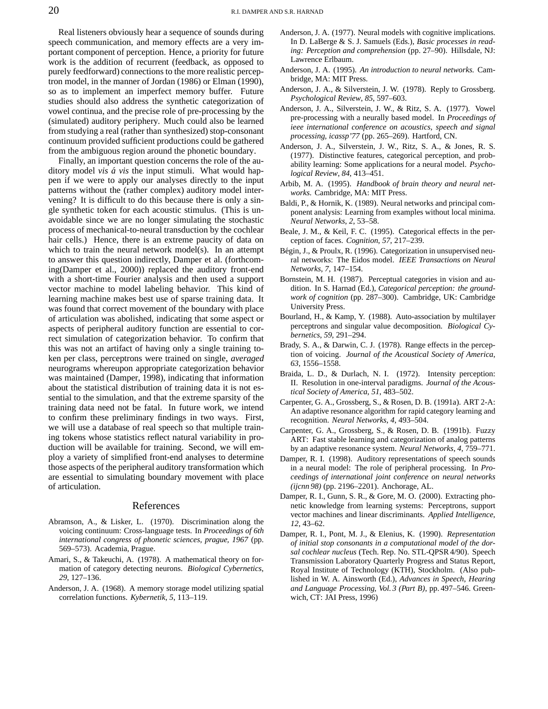Real listeners obviously hear a sequence of sounds during speech communication, and memory effects are a very important component of perception. Hence, a priority for future work is the addition of recurrent (feedback, as opposed to purely feedforward) connections to the more realistic perceptron model, in the manner of Jordan (1986) or Elman (1990), so as to implement an imperfect memory buffer. Future studies should also address the synthetic categorization of vowel continua, and the precise role of pre-processing by the (simulated) auditory periphery. Much could also be learned from studying a real (rather than synthesized) stop-consonant continuum provided sufficient productions could be gathered from the ambiguous region around the phonetic boundary.

Finally, an important question concerns the role of the auditory model *vis a´ vis* the input stimuli. What would happen if we were to apply our analyses directly to the input patterns without the (rather complex) auditory model intervening? It is difficult to do this because there is only a single synthetic token for each acoustic stimulus. (This is unavoidable since we are no longer simulating the stochastic process of mechanical-to-neural transduction by the cochlear hair cells.) Hence, there is an extreme paucity of data on which to train the neural network model(s). In an attempt to answer this question indirectly, Damper et al. (forthcoming(Damper et al., 2000)) replaced the auditory front-end with a short-time Fourier analysis and then used a support vector machine to model labeling behavior. This kind of learning machine makes best use of sparse training data. It was found that correct movement of the boundary with place of articulation was abolished, indicating that some aspect or aspects of peripheral auditory function are essential to correct simulation of categorization behavior. To confirm that this was not an artifact of having only a single training token per class, perceptrons were trained on single, *averaged* neurograms whereupon appropriate categorization behavior was maintained (Damper, 1998), indicating that information about the statistical distribution of training data it is not essential to the simulation, and that the extreme sparsity of the training data need not be fatal. In future work, we intend to confirm these preliminary findings in two ways. First, we will use a database of real speech so that multiple training tokens whose statistics reflect natural variability in production will be available for training. Second, we will employ a variety of simplified front-end analyses to determine those aspects of the peripheral auditory transformation which are essential to simulating boundary movement with place of articulation.

### References

- Abramson, A., & Lisker, L. (1970). Discrimination along the voicing continuum: Cross-language tests. In *Proceedings of 6th international congress of phonetic sciences, prague, 1967* (pp. 569–573). Academia, Prague.
- Amari, S., & Takeuchi, A. (1978). A mathematical theory on formation of category detecting neurons. *Biological Cybernetics*, *29*, 127–136.
- Anderson, J. A. (1968). A memory storage model utilizing spatial correlation functions. *Kybernetik*, *5*, 113–119.
- Anderson, J. A. (1977). Neural models with cognitive implications. In D. LaBerge & S. J. Samuels (Eds.), *Basic processes in reading: Perception and comprehension* (pp. 27–90). Hillsdale, NJ: Lawrence Erlbaum.
- Anderson, J. A. (1995). *An introduction to neural networks.* Cambridge, MA: MIT Press.
- Anderson, J. A., & Silverstein, J. W. (1978). Reply to Grossberg. *Psychological Review*, *85*, 597–603.
- Anderson, J. A., Silverstein, J. W., & Ritz, S. A. (1977). Vowel pre-processing with a neurally based model. In *Proceedings of ieee international conference on acoustics, speech and signal processing, icassp'77* (pp. 265–269). Hartford, CN.
- Anderson, J. A., Silverstein, J. W., Ritz, S. A., & Jones, R. S. (1977). Distinctive features, categorical perception, and probability learning: Some applications for a neural model. *Psychological Review*, *84*, 413–451.
- Arbib, M. A. (1995). *Handbook of brain theory and neural networks.* Cambridge, MA: MIT Press.
- Baldi, P., & Hornik, K. (1989). Neural networks and principal component analysis: Learning from examples without local minima. *Neural Networks*, *2*, 53–58.
- Beale, J. M., & Keil, F. C. (1995). Categorical effects in the perception of faces. *Cognition*, *57*, 217–239.
- Bégin, J., & Proulx, R. (1996). Categorization in unsupervised neural networks: The Eidos model. *IEEE Transactions on Neural Networks*, *7*, 147–154.
- Bornstein, M. H. (1987). Perceptual categories in vision and audition. In S. Harnad (Ed.), *Categorical perception: the groundwork of cognition* (pp. 287–300). Cambridge, UK: Cambridge University Press.
- Bourland, H., & Kamp, Y. (1988). Auto-association by multilayer perceptrons and singular value decomposition. *Biological Cybernetics*, *59*, 291–294.
- Brady, S. A., & Darwin, C. J. (1978). Range effects in the perception of voicing. *Journal of the Acoustical Society of America*, *63*, 1556–1558.
- Braida, L. D., & Durlach, N. I. (1972). Intensity perception: II. Resolution in one-interval paradigms. *Journal of the Acoustical Society of America*, *51*, 483–502.
- Carpenter, G. A., Grossberg, S., & Rosen, D. B. (1991a). ART 2-A: An adaptive resonance algorithm for rapid category learning and recognition. *Neural Networks*, *4*, 493–504.
- Carpenter, G. A., Grossberg, S., & Rosen, D. B. (1991b). Fuzzy ART: Fast stable learning and categorization of analog patterns by an adaptive resonance system. *Neural Networks*, *4*, 759–771.
- Damper, R. I. (1998). Auditory representations of speech sounds in a neural model: The role of peripheral processing. In *Proceedings of international joint conference on neural networks (ijcnn 98)* (pp. 2196–2201). Anchorage, AL.
- Damper, R. I., Gunn, S. R., & Gore, M. O. (2000). Extracting phonetic knowledge from learning systems: Perceptrons, support vector machines and linear discriminants. *Applied Intelligence*, *12*, 43–62.
- Damper, R. I., Pont, M. J., & Elenius, K. (1990). *Representation of initial stop consonants in a computational model of the dorsal cochlear nucleus* (Tech. Rep. No. STL-QPSR4/90). Speech Transmission Laboratory Quarterly Progress and Status Report, Royal Institute of Technology (KTH), Stockholm. (Also published in W. A. Ainsworth (Ed.), *Advances in Speech, Hearing and Language Processing, Vol. 3 (Part B)*, pp. 497–546. Greenwich, CT: JAI Press, 1996)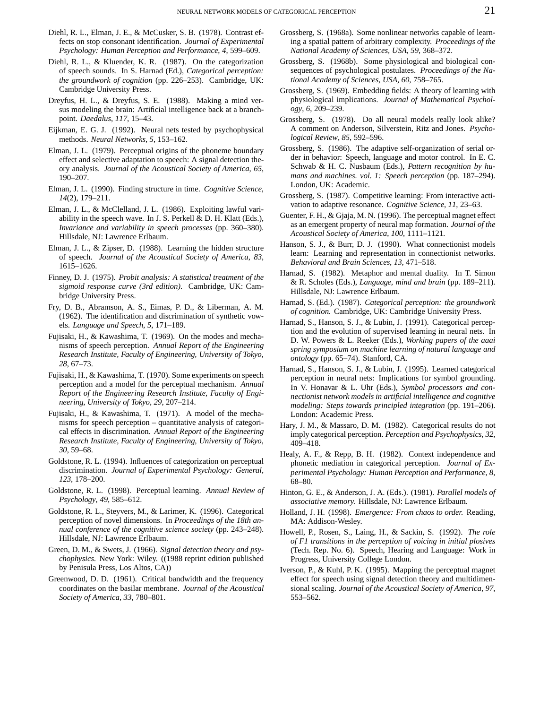- Diehl, R. L., Elman, J. E., & McCusker, S. B. (1978). Contrast effects on stop consonant identification. *Journal of Experimental Psychology: Human Perception and Performance*, *4*, 599–609.
- Diehl, R. L., & Kluender, K. R. (1987). On the categorization of speech sounds. In S. Harnad (Ed.), *Categorical perception: the groundwork of cognition* (pp. 226–253). Cambridge, UK: Cambridge University Press.
- Dreyfus, H. L., & Dreyfus, S. E. (1988). Making a mind versus modeling the brain: Artificial intelligence back at a branchpoint. *Daedalus*, *117*, 15–43.
- Eijkman, E. G. J. (1992). Neural nets tested by psychophysical methods. *Neural Networks*, *5*, 153–162.
- Elman, J. L. (1979). Perceptual origins of the phoneme boundary effect and selective adaptation to speech: A signal detection theory analysis. *Journal of the Acoustical Society of America*, *65*, 190–207.
- Elman, J. L. (1990). Finding structure in time. *Cognitive Science*, *14*(2), 179–211.
- Elman, J. L., & McClelland, J. L. (1986). Exploiting lawful variability in the speech wave. In J. S. Perkell & D. H. Klatt (Eds.), *Invariance and variability in speech processes* (pp. 360–380). Hillsdale, NJ: Lawrence Erlbaum.
- Elman, J. L., & Zipser, D. (1988). Learning the hidden structure of speech. *Journal of the Acoustical Society of America*, *83*, 1615–1626.
- Finney, D. J. (1975). *Probit analysis: A statistical treatment of the sigmoid response curve (3rd edition).* Cambridge, UK: Cambridge University Press.
- Fry, D. B., Abramson, A. S., Eimas, P. D., & Liberman, A. M. (1962). The identification and discrimination of synthetic vowels. *Language and Speech*, *5*, 171–189.
- Fujisaki, H., & Kawashima, T. (1969). On the modes and mechanisms of speech perception. *Annual Report of the Engineering Research Institute, Faculty of Engineering, University of Tokyo*, *28*, 67–73.
- Fujisaki, H., & Kawashima, T. (1970). Some experiments on speech perception and a model for the perceptual mechanism. *Annual Report of the Engineering Research Institute, Faculty of Engineering, University of Tokyo*, *29*, 207–214.
- Fujisaki, H., & Kawashima, T. (1971). A model of the mechanisms for speech perception – quantitative analysis of categorical effects in discrimination. *Annual Report of the Engineering Research Institute, Faculty of Engineering, University of Tokyo*, *30*, 59–68.
- Goldstone, R. L. (1994). Influences of categorization on perceptual discrimination. *Journal of Experimental Psychology: General*, *123*, 178–200.
- Goldstone, R. L. (1998). Perceptual learning. *Annual Review of Psychology*, *49*, 585–612.
- Goldstone, R. L., Steyvers, M., & Larimer, K. (1996). Categorical perception of novel dimensions. In *Proceedings of the 18th annual conference of the cognitive science society* (pp. 243–248). Hillsdale, NJ: Lawrence Erlbaum.
- Green, D. M., & Swets, J. (1966). *Signal detection theory and psychophysics.* New York: Wiley. ((1988 reprint edition published by Penisula Press, Los Altos, CA))
- Greenwood, D. D. (1961). Critical bandwidth and the frequency coordinates on the basilar membrane. *Journal of the Acoustical Society of America*, *33*, 780–801.
- Grossberg, S. (1968a). Some nonlinear networks capable of learning a spatial pattern of arbitrary complexity. *Proceedings of the National Academy of Sciences, USA*, *59*, 368–372.
- Grossberg, S. (1968b). Some physiological and biological consequences of psychological postulates. *Proceedings of the National Academy of Sciences, USA*, *60*, 758–765.
- Grossberg, S. (1969). Embedding fields: A theory of learning with physiological implications. *Journal of Mathematical Psychology*, *6*, 209–239.
- Grossberg, S. (1978). Do all neural models really look alike? A comment on Anderson, Silverstein, Ritz and Jones. *Psychological Review*, *85*, 592–596.
- Grossberg, S. (1986). The adaptive self-organization of serial order in behavior: Speech, language and motor control. In E. C. Schwab & H. C. Nusbaum (Eds.), *Pattern recognition by humans and machines. vol. 1: Speech perception* (pp. 187–294). London, UK: Academic.
- Grossberg, S. (1987). Competitive learning: From interactive activation to adaptive resonance. *Cognitive Science*, *11*, 23–63.
- Guenter, F. H., & Gjaja, M. N. (1996). The perceptual magnet effect as an emergent property of neural map formation. *Journal of the Acoustical Society of America*, *100*, 1111–1121.
- Hanson, S. J., & Burr, D. J. (1990). What connectionist models learn: Learning and representation in connectionist networks. *Behavioral and Brain Sciences*, *13*, 471–518.
- Harnad, S. (1982). Metaphor and mental duality. In T. Simon & R. Scholes (Eds.), *Language, mind and brain* (pp. 189–211). Hillsdale, NJ: Lawrence Erlbaum.
- Harnad, S. (Ed.). (1987). *Categorical perception: the groundwork of cognition.* Cambridge, UK: Cambridge University Press.
- Harnad, S., Hanson, S. J., & Lubin, J. (1991). Categorical perception and the evolution of supervised learning in neural nets. In D. W. Powers & L. Reeker (Eds.), *Working papers of the aaai spring symposium on machine learning of natural language and ontology* (pp. 65–74). Stanford, CA.
- Harnad, S., Hanson, S. J., & Lubin, J. (1995). Learned categorical perception in neural nets: Implications for symbol grounding. In V. Honavar & L. Uhr (Eds.), *Symbol processors and connectionist network models in artificial intelligence and cognitive modeling: Steps towards principled integration* (pp. 191–206). London: Academic Press.
- Hary, J. M., & Massaro, D. M. (1982). Categorical results do not imply categorical perception. *Perception and Psychophysics*, *32*, 409–418.
- Healy, A. F., & Repp, B. H. (1982). Context independence and phonetic mediation in categorical perception. *Journal of Experimental Psychology: Human Perception and Performance*, *8*, 68–80.
- Hinton, G. E., & Anderson, J. A. (Eds.). (1981). *Parallel models of associative memory.* Hillsdale, NJ: Lawrence Erlbaum.
- Holland, J. H. (1998). *Emergence: From chaos to order.* Reading, MA: Addison-Wesley.
- Howell, P., Rosen, S., Laing, H., & Sackin, S. (1992). *The role of F1 transitions in the perception of voicing in initial plosives* (Tech. Rep. No. 6). Speech, Hearing and Language: Work in Progress, University College London.
- Iverson, P., & Kuhl, P. K. (1995). Mapping the perceptual magnet effect for speech using signal detection theory and multidimensional scaling. *Journal of the Acoustical Society of America*, *97*, 553–562.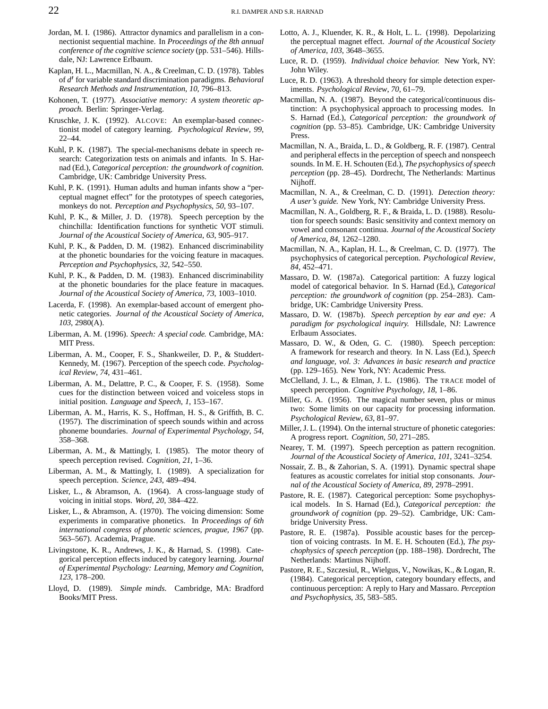- Jordan, M. I. (1986). Attractor dynamics and parallelism in a connectionist sequential machine. In *Proceedings of the 8th annual conference of the cognitive science society* (pp. 531–546). Hillsdale, NJ: Lawrence Erlbaum.
- Kaplan, H. L., Macmillan, N. A., & Creelman, C. D. (1978). Tables of  $d'$  for variable standard discrimination paradigms. *Behavioral Research Methods and Instrumentation*, *10*, 796–813.
- Kohonen, T. (1977). *Associative memory: A system theoretic approach.* Berlin: Springer-Verlag.
- Kruschke, J. K. (1992). ALCOVE: An exemplar-based connectionist model of category learning. *Psychological Review*, *99*, 22–44.
- Kuhl, P. K. (1987). The special-mechanisms debate in speech research: Categorization tests on animals and infants. In S. Harnad (Ed.), *Categorical perception: the groundwork of cognition.* Cambridge, UK: Cambridge University Press.
- Kuhl, P. K. (1991). Human adults and human infants show a "perceptual magnet effect" for the prototypes of speech categories, monkeys do not. *Perception and Psychophysics*, *50*, 93–107.
- Kuhl, P. K., & Miller, J. D. (1978). Speech perception by the chinchilla: Identification functions for synthetic VOT stimuli. *Journal of the Acoustical Society of America*, *63*, 905–917.
- Kuhl, P. K., & Padden, D. M. (1982). Enhanced discriminability at the phonetic boundaries for the voicing feature in macaques. *Perception and Psychophysics*, *32*, 542–550.
- Kuhl, P. K., & Padden, D. M. (1983). Enhanced discriminability at the phonetic boundaries for the place feature in macaques. *Journal of the Acoustical Society of America*, *73*, 1003–1010.
- Lacerda, F. (1998). An exemplar-based account of emergent phonetic categories. *Journal of the Acoustical Society of America*, *103*, 2980(A).
- Liberman, A. M. (1996). *Speech: A special code.* Cambridge, MA: MIT Press.
- Liberman, A. M., Cooper, F. S., Shankweiler, D. P., & Studdert-Kennedy, M. (1967). Perception of the speech code. *Psychological Review*, *74*, 431–461.
- Liberman, A. M., Delattre, P. C., & Cooper, F. S. (1958). Some cues for the distinction between voiced and voiceless stops in initial position. *Language and Speech*, *1*, 153–167.
- Liberman, A. M., Harris, K. S., Hoffman, H. S., & Griffith, B. C. (1957). The discrimination of speech sounds within and across phoneme boundaries. *Journal of Experimental Psychology*, *54*, 358–368.
- Liberman, A. M., & Mattingly, I. (1985). The motor theory of speech perception revised. *Cognition*, *21*, 1–36.
- Liberman, A. M., & Mattingly, I. (1989). A specialization for speech perception. *Science*, *243*, 489–494.
- Lisker, L., & Abramson, A. (1964). A cross-language study of voicing in initial stops. *Word*, *20*, 384–422.
- Lisker, L., & Abramson, A. (1970). The voicing dimension: Some experiments in comparative phonetics. In *Proceedings of 6th international congress of phonetic sciences, prague, 1967* (pp. 563–567). Academia, Prague.
- Livingstone, K. R., Andrews, J. K., & Harnad, S. (1998). Categorical perception effects induced by category learning. *Journal of Experimental Psychology: Learning, Memory and Cognition*, *123*, 178–200.
- Lloyd, D. (1989). *Simple minds.* Cambridge, MA: Bradford Books/MIT Press.
- Lotto, A. J., Kluender, K. R., & Holt, L. L. (1998). Depolarizing the perceptual magnet effect. *Journal of the Acoustical Society of America*, *103*, 3648–3655.
- Luce, R. D. (1959). *Individual choice behavior.* New York, NY: John Wiley.
- Luce, R. D. (1963). A threshold theory for simple detection experiments. *Psychological Review*, *70*, 61–79.
- Macmillan, N. A. (1987). Beyond the categorical/continuous distinction: A psychophysical approach to processing modes. In S. Harnad (Ed.), *Categorical perception: the groundwork of cognition* (pp. 53–85). Cambridge, UK: Cambridge University Press.
- Macmillan, N. A., Braida, L. D., & Goldberg, R. F. (1987). Central and peripheral effects in the perception of speech and nonspeech sounds. In M. E. H. Schouten (Ed.), *The psychophysics of speech perception* (pp. 28–45). Dordrecht, The Netherlands: Martinus Nijhoff.
- Macmillan, N. A., & Creelman, C. D. (1991). *Detection theory: A user's guide.* New York, NY: Cambridge University Press.
- Macmillan, N. A., Goldberg, R. F., & Braida, L. D. (1988). Resolution for speech sounds: Basic sensitivity and context memory on vowel and consonant continua. *Journal of the Acoustical Society of America*, *84*, 1262–1280.
- Macmillan, N. A., Kaplan, H. L., & Creelman, C. D. (1977). The psychophysics of categorical perception. *Psychological Review*, *84*, 452–471.
- Massaro, D. W. (1987a). Categorical partition: A fuzzy logical model of categorical behavior. In S. Harnad (Ed.), *Categorical perception: the groundwork of cognition* (pp. 254–283). Cambridge, UK: Cambridge University Press.
- Massaro, D. W. (1987b). *Speech perception by ear and eye: A paradigm for psychological inquiry.* Hillsdale, NJ: Lawrence Erlbaum Associates.
- Massaro, D. W., & Oden, G. C. (1980). Speech perception: A framework for research and theory. In N. Lass (Ed.), *Speech and language, vol. 3: Advances in basic research and practice* (pp. 129–165). New York, NY: Academic Press.
- McClelland, J. L., & Elman, J. L. (1986). The TRACE model of speech perception. *Cognitive Psychology*, *18*, 1–86.
- Miller, G. A. (1956). The magical number seven, plus or minus two: Some limits on our capacity for processing information. *Psychological Review*, *63*, 81–97.
- Miller, J. L. (1994). On the internal structure of phonetic categories: A progress report. *Cognition*, *50*, 271–285.
- Nearey, T. M. (1997). Speech perception as pattern recognition. *Journal of the Acoustical Society of America*, *101*, 3241–3254.
- Nossair, Z. B., & Zahorian, S. A. (1991). Dynamic spectral shape features as acoustic correlates for initial stop consonants. *Journal of the Acoustical Society of America*, *89*, 2978–2991.
- Pastore, R. E. (1987). Categorical perception: Some psychophysical models. In S. Harnad (Ed.), *Categorical perception: the groundwork of cognition* (pp. 29–52). Cambridge, UK: Cambridge University Press.
- Pastore, R. E. (1987a). Possible acoustic bases for the perception of voicing contrasts. In M. E. H. Schouten (Ed.), *The psychophysics of speech perception* (pp. 188–198). Dordrecht, The Netherlands: Martinus Nijhoff.
- Pastore, R. E., Szczesiul, R., Wielgus, V., Nowikas, K., & Logan, R. (1984). Categorical perception, category boundary effects, and continuous perception: A reply to Hary and Massaro. *Perception and Psychophysics*, *35*, 583–585.